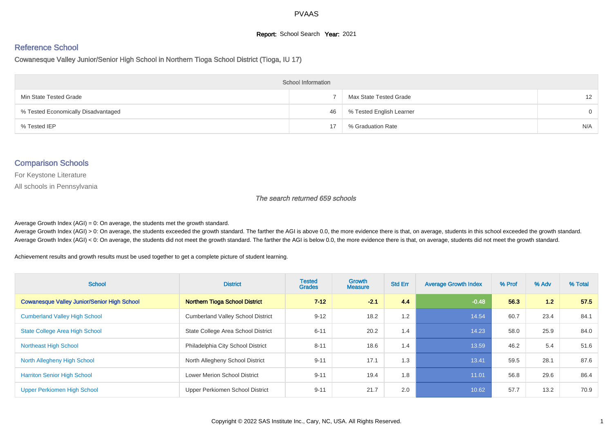#### **Report:** School Search **Year:** 2021

# Reference School

Cowanesque Valley Junior/Senior High School in Northern Tioga School District (Tioga, IU 17)

| <b>School Information</b>           |    |                          |                   |  |  |  |  |  |
|-------------------------------------|----|--------------------------|-------------------|--|--|--|--|--|
| Min State Tested Grade              |    | Max State Tested Grade   | $12 \overline{ }$ |  |  |  |  |  |
| % Tested Economically Disadvantaged | 46 | % Tested English Learner | $\Omega$          |  |  |  |  |  |
| % Tested IEP                        |    | % Graduation Rate        | N/A               |  |  |  |  |  |

#### Comparison Schools

For Keystone Literature

All schools in Pennsylvania

The search returned 659 schools

Average Growth Index  $(AGI) = 0$ : On average, the students met the growth standard.

Average Growth Index (AGI) > 0: On average, the students exceeded the growth standard. The farther the AGI is above 0.0, the more evidence there is that, on average, students in this school exceeded the growth standard. Average Growth Index (AGI) < 0: On average, the students did not meet the growth standard. The farther the AGI is below 0.0, the more evidence there is that, on average, students did not meet the growth standard.

Achievement results and growth results must be used together to get a complete picture of student learning.

| <b>School</b>                                      | <b>District</b>                          | <b>Tested</b><br><b>Grades</b> | <b>Growth</b><br><b>Measure</b> | <b>Std Err</b> | <b>Average Growth Index</b> | % Prof | % Adv | % Total |
|----------------------------------------------------|------------------------------------------|--------------------------------|---------------------------------|----------------|-----------------------------|--------|-------|---------|
| <b>Cowanesque Valley Junior/Senior High School</b> | <b>Northern Tioga School District</b>    | $7 - 12$                       | $-2.1$                          | 4.4            | $-0.48$                     | 56.3   | 1.2   | 57.5    |
| <b>Cumberland Valley High School</b>               | <b>Cumberland Valley School District</b> | $9 - 12$                       | 18.2                            | 1.2            | 14.54                       | 60.7   | 23.4  | 84.1    |
| <b>State College Area High School</b>              | State College Area School District       | $6 - 11$                       | 20.2                            | 1.4            | 14.23                       | 58.0   | 25.9  | 84.0    |
| <b>Northeast High School</b>                       | Philadelphia City School District        | $8 - 11$                       | 18.6                            | 1.4            | 13.59                       | 46.2   | 5.4   | 51.6    |
| North Allegheny High School                        | North Allegheny School District          | $9 - 11$                       | 17.1                            | 1.3            | 13.41                       | 59.5   | 28.1  | 87.6    |
| <b>Harriton Senior High School</b>                 | <b>Lower Merion School District</b>      | $9 - 11$                       | 19.4                            | 1.8            | 11.01                       | 56.8   | 29.6  | 86.4    |
| Upper Perkiomen High School                        | Upper Perkiomen School District          | $9 - 11$                       | 21.7                            | 2.0            | 10.62                       | 57.7   | 13.2  | 70.9    |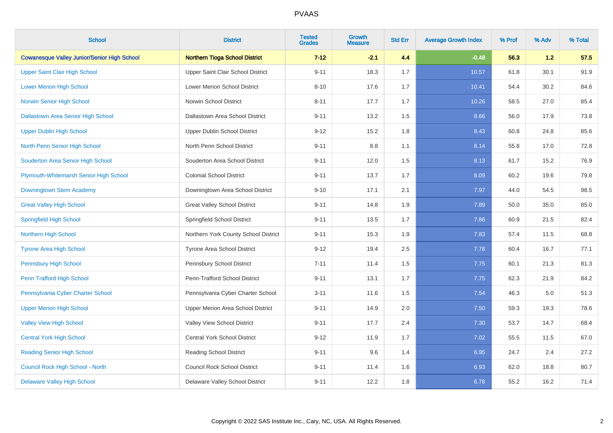| <b>School</b>                                      | <b>District</b>                       | <b>Tested</b><br><b>Grades</b> | <b>Growth</b><br><b>Measure</b> | <b>Std Err</b> | <b>Average Growth Index</b> | % Prof | % Adv | % Total |
|----------------------------------------------------|---------------------------------------|--------------------------------|---------------------------------|----------------|-----------------------------|--------|-------|---------|
| <b>Cowanesque Valley Junior/Senior High School</b> | <b>Northern Tioga School District</b> | $7 - 12$                       | $-2.1$                          | 4.4            | $-0.48$                     | 56.3   | 1.2   | 57.5    |
| <b>Upper Saint Clair High School</b>               | Upper Saint Clair School District     | $9 - 11$                       | 18.3                            | 1.7            | 10.57                       | 61.8   | 30.1  | 91.9    |
| <b>Lower Merion High School</b>                    | <b>Lower Merion School District</b>   | $8 - 10$                       | 17.6                            | 1.7            | 10.41                       | 54.4   | 30.2  | 84.6    |
| Norwin Senior High School                          | Norwin School District                | $8 - 11$                       | 17.7                            | 1.7            | 10.26                       | 58.5   | 27.0  | 85.4    |
| <b>Dallastown Area Senior High School</b>          | Dallastown Area School District       | $9 - 11$                       | 13.2                            | 1.5            | 8.66                        | 56.0   | 17.9  | 73.8    |
| <b>Upper Dublin High School</b>                    | <b>Upper Dublin School District</b>   | $9 - 12$                       | 15.2                            | 1.8            | 8.43                        | 60.8   | 24.8  | 85.6    |
| North Penn Senior High School                      | North Penn School District            | $9 - 11$                       | 8.8                             | 1.1            | 8.14                        | 55.8   | 17.0  | 72.8    |
| Souderton Area Senior High School                  | Souderton Area School District        | $9 - 11$                       | 12.0                            | 1.5            | 8.13                        | 61.7   | 15.2  | 76.9    |
| Plymouth-Whitemarsh Senior High School             | <b>Colonial School District</b>       | $9 - 11$                       | 13.7                            | 1.7            | 8.09                        | 60.2   | 19.6  | 79.8    |
| Downingtown Stem Academy                           | Downingtown Area School District      | $9 - 10$                       | 17.1                            | 2.1            | 7.97                        | 44.0   | 54.5  | 98.5    |
| <b>Great Valley High School</b>                    | <b>Great Valley School District</b>   | $9 - 11$                       | 14.8                            | 1.9            | 7.89                        | 50.0   | 35.0  | 85.0    |
| <b>Springfield High School</b>                     | Springfield School District           | $9 - 11$                       | 13.5                            | 1.7            | 7.86                        | 60.9   | 21.5  | 82.4    |
| <b>Northern High School</b>                        | Northern York County School District  | $9 - 11$                       | 15.3                            | 1.9            | 7.83                        | 57.4   | 11.5  | 68.8    |
| <b>Tyrone Area High School</b>                     | Tyrone Area School District           | $9 - 12$                       | 19.4                            | 2.5            | 7.78                        | 60.4   | 16.7  | 77.1    |
| <b>Pennsbury High School</b>                       | Pennsbury School District             | $7 - 11$                       | 11.4                            | 1.5            | 7.75                        | 60.1   | 21.3  | 81.3    |
| Penn Trafford High School                          | Penn-Trafford School District         | $9 - 11$                       | 13.1                            | 1.7            | 7.75                        | 62.3   | 21.9  | 84.2    |
| Pennsylvania Cyber Charter School                  | Pennsylvania Cyber Charter School     | $3 - 11$                       | 11.6                            | 1.5            | 7.54                        | 46.3   | 5.0   | 51.3    |
| <b>Upper Merion High School</b>                    | Upper Merion Area School District     | $9 - 11$                       | 14.9                            | 2.0            | 7.50                        | 59.3   | 19.3  | 78.6    |
| <b>Valley View High School</b>                     | Valley View School District           | $9 - 11$                       | 17.7                            | 2.4            | 7.30                        | 53.7   | 14.7  | 68.4    |
| <b>Central York High School</b>                    | <b>Central York School District</b>   | $9 - 12$                       | 11.9                            | 1.7            | 7.02                        | 55.5   | 11.5  | 67.0    |
| <b>Reading Senior High School</b>                  | <b>Reading School District</b>        | $9 - 11$                       | 9.6                             | 1.4            | 6.95                        | 24.7   | 2.4   | 27.2    |
| Council Rock High School - North                   | <b>Council Rock School District</b>   | $9 - 11$                       | 11.4                            | 1.6            | 6.93                        | 62.0   | 18.8  | 80.7    |
| <b>Delaware Valley High School</b>                 | Delaware Valley School District       | $9 - 11$                       | 12.2                            | 1.8            | 6.78                        | 55.2   | 16.2  | 71.4    |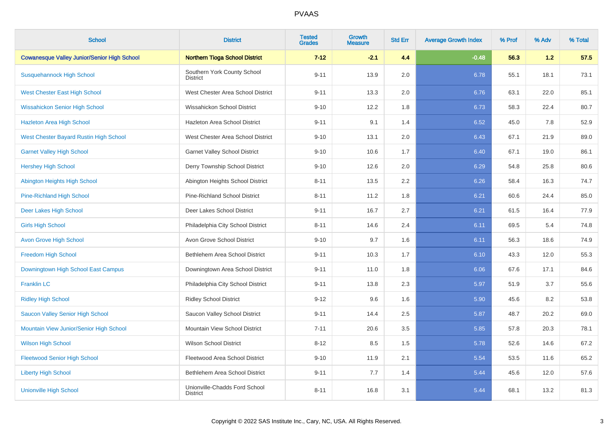| <b>School</b>                                      | <b>District</b>                                  | <b>Tested</b><br><b>Grades</b> | Growth<br><b>Measure</b> | <b>Std Err</b> | <b>Average Growth Index</b> | % Prof | % Adv | % Total |
|----------------------------------------------------|--------------------------------------------------|--------------------------------|--------------------------|----------------|-----------------------------|--------|-------|---------|
| <b>Cowanesque Valley Junior/Senior High School</b> | <b>Northern Tioga School District</b>            | $7 - 12$                       | $-2.1$                   | 4.4            | $-0.48$                     | 56.3   | 1.2   | 57.5    |
| <b>Susquehannock High School</b>                   | Southern York County School<br><b>District</b>   | $9 - 11$                       | 13.9                     | 2.0            | 6.78                        | 55.1   | 18.1  | 73.1    |
| <b>West Chester East High School</b>               | West Chester Area School District                | $9 - 11$                       | 13.3                     | 2.0            | 6.76                        | 63.1   | 22.0  | 85.1    |
| <b>Wissahickon Senior High School</b>              | Wissahickon School District                      | $9 - 10$                       | 12.2                     | 1.8            | 6.73                        | 58.3   | 22.4  | 80.7    |
| <b>Hazleton Area High School</b>                   | Hazleton Area School District                    | $9 - 11$                       | 9.1                      | 1.4            | 6.52                        | 45.0   | 7.8   | 52.9    |
| <b>West Chester Bayard Rustin High School</b>      | West Chester Area School District                | $9 - 10$                       | 13.1                     | 2.0            | 6.43                        | 67.1   | 21.9  | 89.0    |
| <b>Garnet Valley High School</b>                   | <b>Garnet Valley School District</b>             | $9 - 10$                       | 10.6                     | 1.7            | 6.40                        | 67.1   | 19.0  | 86.1    |
| <b>Hershey High School</b>                         | Derry Township School District                   | $9 - 10$                       | 12.6                     | 2.0            | 6.29                        | 54.8   | 25.8  | 80.6    |
| Abington Heights High School                       | Abington Heights School District                 | $8 - 11$                       | 13.5                     | 2.2            | 6.26                        | 58.4   | 16.3  | 74.7    |
| <b>Pine-Richland High School</b>                   | <b>Pine-Richland School District</b>             | $8 - 11$                       | 11.2                     | 1.8            | 6.21                        | 60.6   | 24.4  | 85.0    |
| Deer Lakes High School                             | Deer Lakes School District                       | $9 - 11$                       | 16.7                     | 2.7            | 6.21                        | 61.5   | 16.4  | 77.9    |
| <b>Girls High School</b>                           | Philadelphia City School District                | $8 - 11$                       | 14.6                     | 2.4            | 6.11                        | 69.5   | 5.4   | 74.8    |
| <b>Avon Grove High School</b>                      | Avon Grove School District                       | $9 - 10$                       | 9.7                      | 1.6            | 6.11                        | 56.3   | 18.6  | 74.9    |
| <b>Freedom High School</b>                         | Bethlehem Area School District                   | $9 - 11$                       | 10.3                     | 1.7            | 6.10                        | 43.3   | 12.0  | 55.3    |
| Downingtown High School East Campus                | Downingtown Area School District                 | $9 - 11$                       | 11.0                     | 1.8            | 6.06                        | 67.6   | 17.1  | 84.6    |
| <b>Franklin LC</b>                                 | Philadelphia City School District                | $9 - 11$                       | 13.8                     | 2.3            | 5.97                        | 51.9   | 3.7   | 55.6    |
| <b>Ridley High School</b>                          | <b>Ridley School District</b>                    | $9 - 12$                       | 9.6                      | 1.6            | 5.90                        | 45.6   | 8.2   | 53.8    |
| Saucon Valley Senior High School                   | Saucon Valley School District                    | $9 - 11$                       | 14.4                     | 2.5            | 5.87                        | 48.7   | 20.2  | 69.0    |
| Mountain View Junior/Senior High School            | Mountain View School District                    | $7 - 11$                       | 20.6                     | 3.5            | 5.85                        | 57.8   | 20.3  | 78.1    |
| <b>Wilson High School</b>                          | <b>Wilson School District</b>                    | $8 - 12$                       | 8.5                      | 1.5            | 5.78                        | 52.6   | 14.6  | 67.2    |
| <b>Fleetwood Senior High School</b>                | Fleetwood Area School District                   | $9 - 10$                       | 11.9                     | 2.1            | 5.54                        | 53.5   | 11.6  | 65.2    |
| <b>Liberty High School</b>                         | Bethlehem Area School District                   | $9 - 11$                       | 7.7                      | 1.4            | 5.44                        | 45.6   | 12.0  | 57.6    |
| <b>Unionville High School</b>                      | Unionville-Chadds Ford School<br><b>District</b> | $8 - 11$                       | 16.8                     | 3.1            | 5.44                        | 68.1   | 13.2  | 81.3    |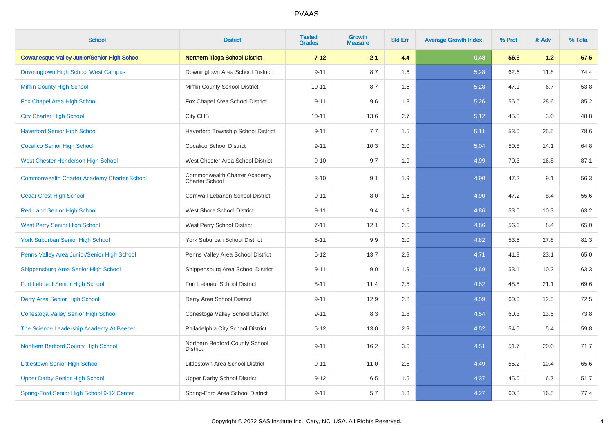| <b>School</b>                                      | <b>District</b>                                       | <b>Tested</b><br><b>Grades</b> | Growth<br><b>Measure</b> | <b>Std Err</b> | <b>Average Growth Index</b> | % Prof | % Adv | % Total |
|----------------------------------------------------|-------------------------------------------------------|--------------------------------|--------------------------|----------------|-----------------------------|--------|-------|---------|
| <b>Cowanesque Valley Junior/Senior High School</b> | <b>Northern Tioga School District</b>                 | $7 - 12$                       | $-2.1$                   | 4.4            | $-0.48$                     | 56.3   | 1.2   | 57.5    |
| Downingtown High School West Campus                | Downingtown Area School District                      | $9 - 11$                       | 8.7                      | 1.6            | 5.28                        | 62.6   | 11.8  | 74.4    |
| <b>Mifflin County High School</b>                  | Mifflin County School District                        | $10 - 11$                      | 8.7                      | 1.6            | 5.28                        | 47.1   | 6.7   | 53.8    |
| Fox Chapel Area High School                        | Fox Chapel Area School District                       | $9 - 11$                       | 9.6                      | 1.8            | 5.26                        | 56.6   | 28.6  | 85.2    |
| <b>City Charter High School</b>                    | City CHS                                              | $10 - 11$                      | 13.6                     | 2.7            | 5.12                        | 45.8   | 3.0   | 48.8    |
| <b>Haverford Senior High School</b>                | Haverford Township School District                    | $9 - 11$                       | 7.7                      | 1.5            | 5.11                        | 53.0   | 25.5  | 78.6    |
| <b>Cocalico Senior High School</b>                 | <b>Cocalico School District</b>                       | $9 - 11$                       | 10.3                     | 2.0            | 5.04                        | 50.8   | 14.1  | 64.8    |
| West Chester Henderson High School                 | West Chester Area School District                     | $9 - 10$                       | 9.7                      | 1.9            | 4.99                        | 70.3   | 16.8  | 87.1    |
| <b>Commonwealth Charter Academy Charter School</b> | Commonwealth Charter Academy<br><b>Charter School</b> | $3 - 10$                       | 9.1                      | 1.9            | 4.90                        | 47.2   | 9.1   | 56.3    |
| <b>Cedar Crest High School</b>                     | Cornwall-Lebanon School District                      | $9 - 11$                       | 8.0                      | 1.6            | 4.90                        | 47.2   | 8.4   | 55.6    |
| <b>Red Land Senior High School</b>                 | West Shore School District                            | $9 - 11$                       | 9.4                      | 1.9            | 4.86                        | 53.0   | 10.3  | 63.2    |
| <b>West Perry Senior High School</b>               | West Perry School District                            | $7 - 11$                       | 12.1                     | 2.5            | 4.86                        | 56.6   | 8.4   | 65.0    |
| York Suburban Senior High School                   | York Suburban School District                         | $8 - 11$                       | 9.9                      | 2.0            | 4.82                        | 53.5   | 27.8  | 81.3    |
| Penns Valley Area Junior/Senior High School        | Penns Valley Area School District                     | $6 - 12$                       | 13.7                     | 2.9            | 4.71                        | 41.9   | 23.1  | 65.0    |
| Shippensburg Area Senior High School               | Shippensburg Area School District                     | $9 - 11$                       | 9.0                      | 1.9            | 4.69                        | 53.1   | 10.2  | 63.3    |
| <b>Fort Leboeuf Senior High School</b>             | Fort Leboeuf School District                          | $8 - 11$                       | 11.4                     | 2.5            | 4.62                        | 48.5   | 21.1  | 69.6    |
| Derry Area Senior High School                      | Derry Area School District                            | $9 - 11$                       | 12.9                     | 2.8            | 4.59                        | 60.0   | 12.5  | 72.5    |
| Conestoga Valley Senior High School                | Conestoga Valley School District                      | $9 - 11$                       | 8.3                      | 1.8            | 4.54                        | 60.3   | 13.5  | 73.8    |
| The Science Leadership Academy At Beeber           | Philadelphia City School District                     | $5 - 12$                       | 13.0                     | 2.9            | 4.52                        | 54.5   | 5.4   | 59.8    |
| Northern Bedford County High School                | Northern Bedford County School<br><b>District</b>     | $9 - 11$                       | 16.2                     | 3.6            | 4.51                        | 51.7   | 20.0  | 71.7    |
| <b>Littlestown Senior High School</b>              | Littlestown Area School District                      | $9 - 11$                       | 11.0                     | 2.5            | 4.49                        | 55.2   | 10.4  | 65.6    |
| <b>Upper Darby Senior High School</b>              | <b>Upper Darby School District</b>                    | $9 - 12$                       | 6.5                      | 1.5            | 4.37                        | 45.0   | 6.7   | 51.7    |
| Spring-Ford Senior High School 9-12 Center         | Spring-Ford Area School District                      | $9 - 11$                       | 5.7                      | 1.3            | 4.27                        | 60.8   | 16.5  | 77.4    |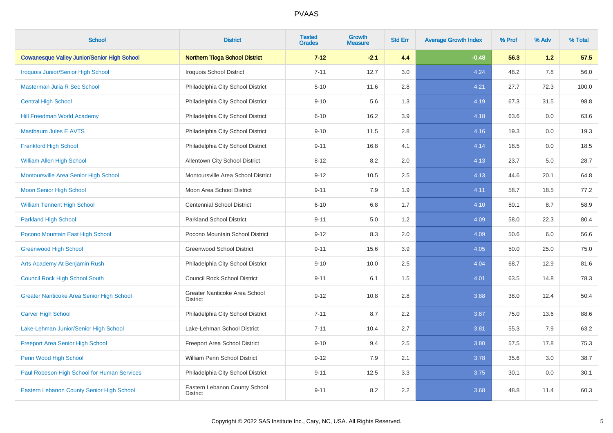| <b>School</b>                                      | <b>District</b>                                  | <b>Tested</b><br><b>Grades</b> | Growth<br><b>Measure</b> | <b>Std Err</b> | <b>Average Growth Index</b> | % Prof | % Adv | % Total |
|----------------------------------------------------|--------------------------------------------------|--------------------------------|--------------------------|----------------|-----------------------------|--------|-------|---------|
| <b>Cowanesque Valley Junior/Senior High School</b> | <b>Northern Tioga School District</b>            | $7 - 12$                       | $-2.1$                   | 4.4            | $-0.48$                     | 56.3   | 1.2   | 57.5    |
| Iroquois Junior/Senior High School                 | <b>Iroquois School District</b>                  | $7 - 11$                       | 12.7                     | 3.0            | 4.24                        | 48.2   | 7.8   | 56.0    |
| Masterman Julia R Sec School                       | Philadelphia City School District                | $5 - 10$                       | 11.6                     | 2.8            | 4.21                        | 27.7   | 72.3  | 100.0   |
| <b>Central High School</b>                         | Philadelphia City School District                | $9 - 10$                       | 5.6                      | 1.3            | 4.19                        | 67.3   | 31.5  | 98.8    |
| <b>Hill Freedman World Academy</b>                 | Philadelphia City School District                | $6 - 10$                       | 16.2                     | 3.9            | 4.18                        | 63.6   | 0.0   | 63.6    |
| <b>Mastbaum Jules E AVTS</b>                       | Philadelphia City School District                | $9 - 10$                       | 11.5                     | 2.8            | 4.16                        | 19.3   | 0.0   | 19.3    |
| <b>Frankford High School</b>                       | Philadelphia City School District                | $9 - 11$                       | 16.8                     | 4.1            | 4.14                        | 18.5   | 0.0   | 18.5    |
| <b>William Allen High School</b>                   | Allentown City School District                   | $8 - 12$                       | 8.2                      | 2.0            | 4.13                        | 23.7   | 5.0   | 28.7    |
| Montoursville Area Senior High School              | Montoursville Area School District               | $9 - 12$                       | 10.5                     | 2.5            | 4.13                        | 44.6   | 20.1  | 64.8    |
| <b>Moon Senior High School</b>                     | Moon Area School District                        | $9 - 11$                       | 7.9                      | 1.9            | 4.11                        | 58.7   | 18.5  | 77.2    |
| <b>William Tennent High School</b>                 | <b>Centennial School District</b>                | $6 - 10$                       | 6.8                      | 1.7            | 4.10                        | 50.1   | 8.7   | 58.9    |
| <b>Parkland High School</b>                        | <b>Parkland School District</b>                  | $9 - 11$                       | 5.0                      | 1.2            | 4.09                        | 58.0   | 22.3  | 80.4    |
| Pocono Mountain East High School                   | Pocono Mountain School District                  | $9 - 12$                       | 8.3                      | 2.0            | 4.09                        | 50.6   | 6.0   | 56.6    |
| <b>Greenwood High School</b>                       | <b>Greenwood School District</b>                 | $9 - 11$                       | 15.6                     | 3.9            | 4.05                        | 50.0   | 25.0  | 75.0    |
| Arts Academy At Benjamin Rush                      | Philadelphia City School District                | $9 - 10$                       | 10.0                     | 2.5            | 4.04                        | 68.7   | 12.9  | 81.6    |
| <b>Council Rock High School South</b>              | <b>Council Rock School District</b>              | $9 - 11$                       | 6.1                      | 1.5            | 4.01                        | 63.5   | 14.8  | 78.3    |
| <b>Greater Nanticoke Area Senior High School</b>   | Greater Nanticoke Area School<br><b>District</b> | $9 - 12$                       | 10.8                     | 2.8            | 3.88                        | 38.0   | 12.4  | 50.4    |
| <b>Carver High School</b>                          | Philadelphia City School District                | $7 - 11$                       | 8.7                      | 2.2            | 3.87                        | 75.0   | 13.6  | 88.6    |
| Lake-Lehman Junior/Senior High School              | Lake-Lehman School District                      | $7 - 11$                       | 10.4                     | 2.7            | 3.81                        | 55.3   | 7.9   | 63.2    |
| <b>Freeport Area Senior High School</b>            | Freeport Area School District                    | $9 - 10$                       | 9.4                      | 2.5            | 3.80                        | 57.5   | 17.8  | 75.3    |
| Penn Wood High School                              | William Penn School District                     | $9 - 12$                       | 7.9                      | 2.1            | 3.78                        | 35.6   | 3.0   | 38.7    |
| Paul Robeson High School for Human Services        | Philadelphia City School District                | $9 - 11$                       | 12.5                     | 3.3            | 3.75                        | 30.1   | 0.0   | 30.1    |
| Eastern Lebanon County Senior High School          | Eastern Lebanon County School<br><b>District</b> | $9 - 11$                       | 8.2                      | 2.2            | 3.68                        | 48.8   | 11.4  | 60.3    |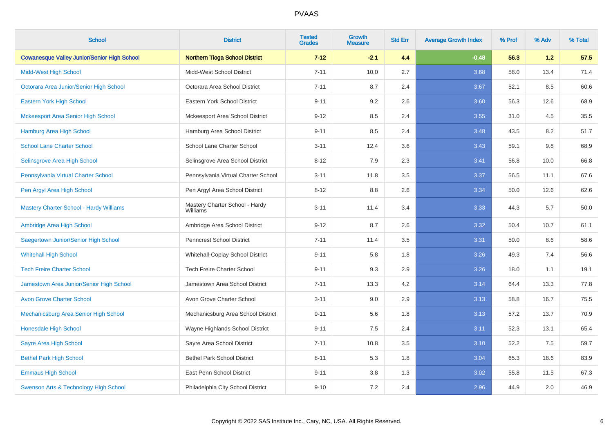| <b>School</b>                                      | <b>District</b>                            | <b>Tested</b><br><b>Grades</b> | <b>Growth</b><br><b>Measure</b> | <b>Std Err</b> | <b>Average Growth Index</b> | % Prof | % Adv | % Total |
|----------------------------------------------------|--------------------------------------------|--------------------------------|---------------------------------|----------------|-----------------------------|--------|-------|---------|
| <b>Cowanesque Valley Junior/Senior High School</b> | <b>Northern Tioga School District</b>      | $7 - 12$                       | $-2.1$                          | 4.4            | $-0.48$                     | 56.3   | 1.2   | 57.5    |
| <b>Midd-West High School</b>                       | Midd-West School District                  | $7 - 11$                       | 10.0                            | 2.7            | 3.68                        | 58.0   | 13.4  | 71.4    |
| Octorara Area Junior/Senior High School            | Octorara Area School District              | $7 - 11$                       | 8.7                             | 2.4            | 3.67                        | 52.1   | 8.5   | 60.6    |
| Eastern York High School                           | Eastern York School District               | $9 - 11$                       | 9.2                             | 2.6            | 3.60                        | 56.3   | 12.6  | 68.9    |
| <b>Mckeesport Area Senior High School</b>          | Mckeesport Area School District            | $9 - 12$                       | 8.5                             | 2.4            | 3.55                        | 31.0   | 4.5   | 35.5    |
| <b>Hamburg Area High School</b>                    | Hamburg Area School District               | $9 - 11$                       | 8.5                             | 2.4            | 3.48                        | 43.5   | 8.2   | 51.7    |
| <b>School Lane Charter School</b>                  | School Lane Charter School                 | $3 - 11$                       | 12.4                            | 3.6            | 3.43                        | 59.1   | 9.8   | 68.9    |
| Selinsgrove Area High School                       | Selinsgrove Area School District           | $8 - 12$                       | 7.9                             | 2.3            | 3.41                        | 56.8   | 10.0  | 66.8    |
| Pennsylvania Virtual Charter School                | Pennsylvania Virtual Charter School        | $3 - 11$                       | 11.8                            | 3.5            | 3.37                        | 56.5   | 11.1  | 67.6    |
| Pen Argyl Area High School                         | Pen Argyl Area School District             | $8 - 12$                       | 8.8                             | 2.6            | 3.34                        | 50.0   | 12.6  | 62.6    |
| <b>Mastery Charter School - Hardy Williams</b>     | Mastery Charter School - Hardy<br>Williams | $3 - 11$                       | 11.4                            | 3.4            | 3.33                        | 44.3   | 5.7   | 50.0    |
| Ambridge Area High School                          | Ambridge Area School District              | $9 - 12$                       | 8.7                             | 2.6            | 3.32                        | 50.4   | 10.7  | 61.1    |
| Saegertown Junior/Senior High School               | Penncrest School District                  | $7 - 11$                       | 11.4                            | 3.5            | 3.31                        | 50.0   | 8.6   | 58.6    |
| <b>Whitehall High School</b>                       | Whitehall-Coplay School District           | $9 - 11$                       | 5.8                             | 1.8            | 3.26                        | 49.3   | 7.4   | 56.6    |
| <b>Tech Freire Charter School</b>                  | <b>Tech Freire Charter School</b>          | $9 - 11$                       | 9.3                             | 2.9            | 3.26                        | 18.0   | 1.1   | 19.1    |
| Jamestown Area Junior/Senior High School           | Jamestown Area School District             | $7 - 11$                       | 13.3                            | 4.2            | 3.14                        | 64.4   | 13.3  | 77.8    |
| <b>Avon Grove Charter School</b>                   | Avon Grove Charter School                  | $3 - 11$                       | 9.0                             | 2.9            | 3.13                        | 58.8   | 16.7  | 75.5    |
| Mechanicsburg Area Senior High School              | Mechanicsburg Area School District         | $9 - 11$                       | 5.6                             | 1.8            | 3.13                        | 57.2   | 13.7  | 70.9    |
| Honesdale High School                              | Wayne Highlands School District            | $9 - 11$                       | $7.5\,$                         | 2.4            | 3.11                        | 52.3   | 13.1  | 65.4    |
| Sayre Area High School                             | Sayre Area School District                 | $7 - 11$                       | 10.8                            | 3.5            | 3.10                        | 52.2   | 7.5   | 59.7    |
| <b>Bethel Park High School</b>                     | <b>Bethel Park School District</b>         | $8 - 11$                       | 5.3                             | 1.8            | 3.04                        | 65.3   | 18.6  | 83.9    |
| <b>Emmaus High School</b>                          | East Penn School District                  | $9 - 11$                       | 3.8                             | 1.3            | 3.02                        | 55.8   | 11.5  | 67.3    |
| Swenson Arts & Technology High School              | Philadelphia City School District          | $9 - 10$                       | 7.2                             | 2.4            | 2.96                        | 44.9   | 2.0   | 46.9    |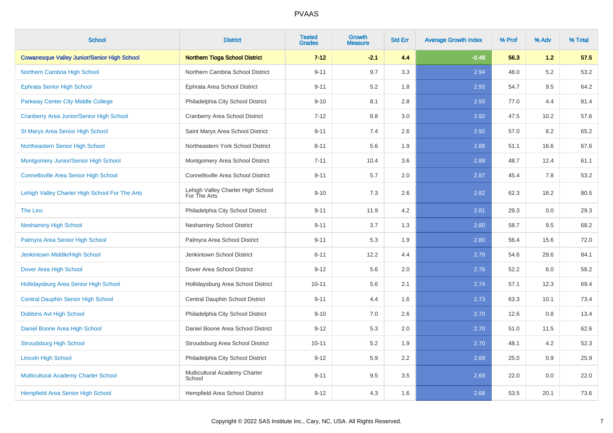| <b>School</b>                                      | <b>District</b>                                   | <b>Tested</b><br><b>Grades</b> | <b>Growth</b><br><b>Measure</b> | <b>Std Err</b> | <b>Average Growth Index</b> | % Prof | % Adv | % Total |
|----------------------------------------------------|---------------------------------------------------|--------------------------------|---------------------------------|----------------|-----------------------------|--------|-------|---------|
| <b>Cowanesque Valley Junior/Senior High School</b> | <b>Northern Tioga School District</b>             | $7 - 12$                       | $-2.1$                          | 4.4            | $-0.48$                     | 56.3   | 1.2   | 57.5    |
| Northern Cambria High School                       | Northern Cambria School District                  | $9 - 11$                       | 9.7                             | 3.3            | 2.94                        | 48.0   | 5.2   | 53.2    |
| <b>Ephrata Senior High School</b>                  | Ephrata Area School District                      | $9 - 11$                       | 5.2                             | 1.8            | 2.93                        | 54.7   | 9.5   | 64.2    |
| <b>Parkway Center City Middle College</b>          | Philadelphia City School District                 | $9 - 10$                       | 8.1                             | 2.8            | 2.93                        | 77.0   | 4.4   | 81.4    |
| <b>Cranberry Area Junior/Senior High School</b>    | <b>Cranberry Area School District</b>             | $7 - 12$                       | 8.8                             | 3.0            | 2.92                        | 47.5   | 10.2  | 57.6    |
| St Marys Area Senior High School                   | Saint Marys Area School District                  | $9 - 11$                       | 7.4                             | 2.6            | 2.92                        | 57.0   | 8.2   | 65.2    |
| Northeastern Senior High School                    | Northeastern York School District                 | $8 - 11$                       | 5.6                             | 1.9            | 2.88                        | 51.1   | 16.6  | 67.6    |
| Montgomery Junior/Senior High School               | Montgomery Area School District                   | $7 - 11$                       | 10.4                            | 3.6            | 2.88                        | 48.7   | 12.4  | 61.1    |
| <b>Connellsville Area Senior High School</b>       | Connellsville Area School District                | $9 - 11$                       | 5.7                             | 2.0            | 2.87                        | 45.4   | 7.8   | 53.2    |
| Lehigh Valley Charter High School For The Arts     | Lehigh Valley Charter High School<br>For The Arts | $9 - 10$                       | 7.3                             | 2.6            | 2.82                        | 62.3   | 18.2  | 80.5    |
| The Linc                                           | Philadelphia City School District                 | $9 - 11$                       | 11.9                            | 4.2            | 2.81                        | 29.3   | 0.0   | 29.3    |
| <b>Neshaminy High School</b>                       | <b>Neshaminy School District</b>                  | $9 - 11$                       | 3.7                             | 1.3            | 2.80                        | 58.7   | 9.5   | 68.2    |
| Palmyra Area Senior High School                    | Palmyra Area School District                      | $9 - 11$                       | 5.3                             | 1.9            | 2.80                        | 56.4   | 15.6  | 72.0    |
| Jenkintown Middle/High School                      | Jenkintown School District                        | $6 - 11$                       | 12.2                            | 4.4            | 2.79                        | 54.6   | 29.6  | 84.1    |
| Dover Area High School                             | Dover Area School District                        | $9 - 12$                       | 5.6                             | 2.0            | 2.76                        | 52.2   | 6.0   | 58.2    |
| Hollidaysburg Area Senior High School              | Hollidaysburg Area School District                | $10 - 11$                      | 5.6                             | 2.1            | 2.74                        | 57.1   | 12.3  | 69.4    |
| <b>Central Dauphin Senior High School</b>          | Central Dauphin School District                   | $9 - 11$                       | 4.4                             | 1.6            | 2.73                        | 63.3   | 10.1  | 73.4    |
| <b>Dobbins Avt High School</b>                     | Philadelphia City School District                 | $9 - 10$                       | 7.0                             | 2.6            | 2.70                        | 12.6   | 0.8   | 13.4    |
| Daniel Boone Area High School                      | Daniel Boone Area School District                 | $9 - 12$                       | 5.3                             | $2.0\,$        | 2.70                        | 51.0   | 11.5  | 62.6    |
| <b>Stroudsburg High School</b>                     | Stroudsburg Area School District                  | $10 - 11$                      | 5.2                             | 1.9            | 2.70                        | 48.1   | 4.2   | 52.3    |
| <b>Lincoln High School</b>                         | Philadelphia City School District                 | $9 - 12$                       | 5.9                             | 2.2            | 2.69                        | 25.0   | 0.9   | 25.9    |
| Multicultural Academy Charter School               | Multicultural Academy Charter<br>School           | $9 - 11$                       | 9.5                             | 3.5            | 2.69                        | 22.0   | 0.0   | 22.0    |
| Hempfield Area Senior High School                  | Hempfield Area School District                    | $9 - 12$                       | 4.3                             | 1.6            | 2.68                        | 53.5   | 20.1  | 73.6    |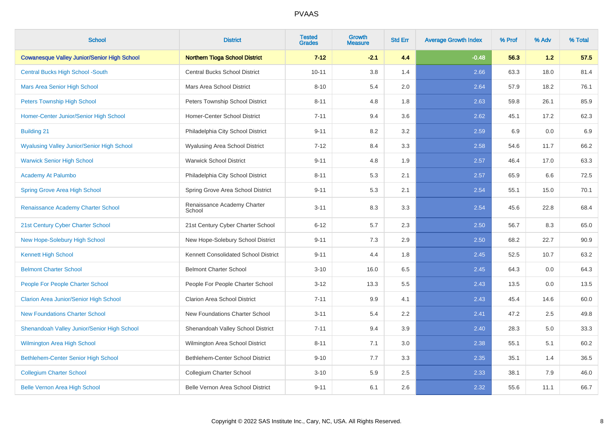| <b>School</b>                                      | <b>District</b>                       | <b>Tested</b><br><b>Grades</b> | <b>Growth</b><br><b>Measure</b> | <b>Std Err</b> | <b>Average Growth Index</b> | % Prof | % Adv | % Total |
|----------------------------------------------------|---------------------------------------|--------------------------------|---------------------------------|----------------|-----------------------------|--------|-------|---------|
| <b>Cowanesque Valley Junior/Senior High School</b> | <b>Northern Tioga School District</b> | $7 - 12$                       | $-2.1$                          | 4.4            | $-0.48$                     | 56.3   | 1.2   | 57.5    |
| <b>Central Bucks High School -South</b>            | <b>Central Bucks School District</b>  | $10 - 11$                      | 3.8                             | 1.4            | 2.66                        | 63.3   | 18.0  | 81.4    |
| <b>Mars Area Senior High School</b>                | Mars Area School District             | $8 - 10$                       | 5.4                             | 2.0            | 2.64                        | 57.9   | 18.2  | 76.1    |
| <b>Peters Township High School</b>                 | Peters Township School District       | $8 - 11$                       | 4.8                             | 1.8            | 2.63                        | 59.8   | 26.1  | 85.9    |
| Homer-Center Junior/Senior High School             | Homer-Center School District          | $7 - 11$                       | 9.4                             | 3.6            | 2.62                        | 45.1   | 17.2  | 62.3    |
| <b>Building 21</b>                                 | Philadelphia City School District     | $9 - 11$                       | 8.2                             | 3.2            | 2.59                        | 6.9    | 0.0   | 6.9     |
| <b>Wyalusing Valley Junior/Senior High School</b>  | Wyalusing Area School District        | $7 - 12$                       | 8.4                             | 3.3            | 2.58                        | 54.6   | 11.7  | 66.2    |
| <b>Warwick Senior High School</b>                  | <b>Warwick School District</b>        | $9 - 11$                       | 4.8                             | 1.9            | 2.57                        | 46.4   | 17.0  | 63.3    |
| Academy At Palumbo                                 | Philadelphia City School District     | $8 - 11$                       | 5.3                             | 2.1            | 2.57                        | 65.9   | 6.6   | 72.5    |
| <b>Spring Grove Area High School</b>               | Spring Grove Area School District     | $9 - 11$                       | 5.3                             | 2.1            | 2.54                        | 55.1   | 15.0  | 70.1    |
| Renaissance Academy Charter School                 | Renaissance Academy Charter<br>School | $3 - 11$                       | 8.3                             | 3.3            | 2.54                        | 45.6   | 22.8  | 68.4    |
| 21st Century Cyber Charter School                  | 21st Century Cyber Charter School     | $6 - 12$                       | 5.7                             | 2.3            | 2.50                        | 56.7   | 8.3   | 65.0    |
| New Hope-Solebury High School                      | New Hope-Solebury School District     | $9 - 11$                       | 7.3                             | 2.9            | 2.50                        | 68.2   | 22.7  | 90.9    |
| <b>Kennett High School</b>                         | Kennett Consolidated School District  | $9 - 11$                       | 4.4                             | 1.8            | 2.45                        | 52.5   | 10.7  | 63.2    |
| <b>Belmont Charter School</b>                      | <b>Belmont Charter School</b>         | $3 - 10$                       | 16.0                            | 6.5            | 2.45                        | 64.3   | 0.0   | 64.3    |
| People For People Charter School                   | People For People Charter School      | $3 - 12$                       | 13.3                            | 5.5            | 2.43                        | 13.5   | 0.0   | 13.5    |
| <b>Clarion Area Junior/Senior High School</b>      | <b>Clarion Area School District</b>   | $7 - 11$                       | 9.9                             | 4.1            | 2.43                        | 45.4   | 14.6  | 60.0    |
| <b>New Foundations Charter School</b>              | New Foundations Charter School        | $3 - 11$                       | 5.4                             | 2.2            | 2.41                        | 47.2   | 2.5   | 49.8    |
| Shenandoah Valley Junior/Senior High School        | Shenandoah Valley School District     | $7 - 11$                       | 9.4                             | 3.9            | 2.40                        | 28.3   | 5.0   | 33.3    |
| <b>Wilmington Area High School</b>                 | Wilmington Area School District       | $8 - 11$                       | 7.1                             | 3.0            | 2.38                        | 55.1   | 5.1   | 60.2    |
| Bethlehem-Center Senior High School                | Bethlehem-Center School District      | $9 - 10$                       | 7.7                             | 3.3            | 2.35                        | 35.1   | 1.4   | 36.5    |
| <b>Collegium Charter School</b>                    | Collegium Charter School              | $3 - 10$                       | 5.9                             | 2.5            | 2.33                        | 38.1   | 7.9   | 46.0    |
| <b>Belle Vernon Area High School</b>               | Belle Vernon Area School District     | $9 - 11$                       | 6.1                             | 2.6            | 2.32                        | 55.6   | 11.1  | 66.7    |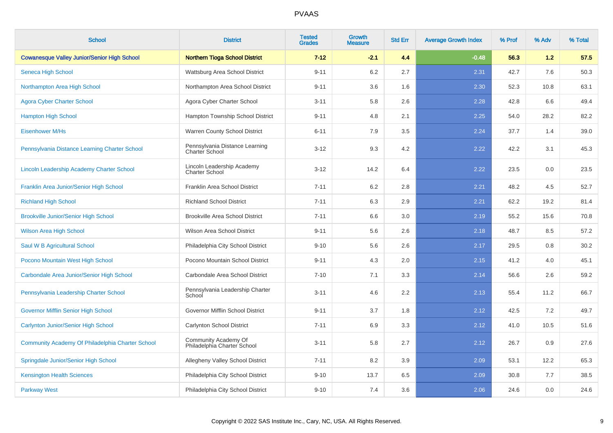| <b>School</b>                                      | <b>District</b>                                         | <b>Tested</b><br><b>Grades</b> | Growth<br><b>Measure</b> | <b>Std Err</b> | <b>Average Growth Index</b> | % Prof | % Adv | % Total |
|----------------------------------------------------|---------------------------------------------------------|--------------------------------|--------------------------|----------------|-----------------------------|--------|-------|---------|
| <b>Cowanesque Valley Junior/Senior High School</b> | <b>Northern Tioga School District</b>                   | $7 - 12$                       | $-2.1$                   | 4.4            | $-0.48$                     | 56.3   | 1.2   | 57.5    |
| Seneca High School                                 | Wattsburg Area School District                          | $9 - 11$                       | $6.2\,$                  | 2.7            | 2.31                        | 42.7   | 7.6   | 50.3    |
| Northampton Area High School                       | Northampton Area School District                        | $9 - 11$                       | 3.6                      | 1.6            | 2.30                        | 52.3   | 10.8  | 63.1    |
| <b>Agora Cyber Charter School</b>                  | Agora Cyber Charter School                              | $3 - 11$                       | 5.8                      | 2.6            | 2.28                        | 42.8   | 6.6   | 49.4    |
| <b>Hampton High School</b>                         | Hampton Township School District                        | $9 - 11$                       | 4.8                      | 2.1            | 2.25                        | 54.0   | 28.2  | 82.2    |
| <b>Eisenhower M/Hs</b>                             | Warren County School District                           | $6 - 11$                       | 7.9                      | 3.5            | 2.24                        | 37.7   | 1.4   | 39.0    |
| Pennsylvania Distance Learning Charter School      | Pennsylvania Distance Learning<br><b>Charter School</b> | $3 - 12$                       | 9.3                      | 4.2            | 2.22                        | 42.2   | 3.1   | 45.3    |
| Lincoln Leadership Academy Charter School          | Lincoln Leadership Academy<br><b>Charter School</b>     | $3 - 12$                       | 14.2                     | 6.4            | 2.22                        | 23.5   | 0.0   | 23.5    |
| Franklin Area Junior/Senior High School            | Franklin Area School District                           | $7 - 11$                       | 6.2                      | 2.8            | 2.21                        | 48.2   | 4.5   | 52.7    |
| <b>Richland High School</b>                        | <b>Richland School District</b>                         | $7 - 11$                       | 6.3                      | 2.9            | 2.21                        | 62.2   | 19.2  | 81.4    |
| <b>Brookville Junior/Senior High School</b>        | <b>Brookville Area School District</b>                  | $7 - 11$                       | 6.6                      | 3.0            | 2.19                        | 55.2   | 15.6  | 70.8    |
| <b>Wilson Area High School</b>                     | <b>Wilson Area School District</b>                      | $9 - 11$                       | 5.6                      | 2.6            | 2.18                        | 48.7   | 8.5   | 57.2    |
| Saul W B Agricultural School                       | Philadelphia City School District                       | $9 - 10$                       | 5.6                      | 2.6            | 2.17                        | 29.5   | 0.8   | 30.2    |
| Pocono Mountain West High School                   | Pocono Mountain School District                         | $9 - 11$                       | 4.3                      | 2.0            | 2.15                        | 41.2   | 4.0   | 45.1    |
| Carbondale Area Junior/Senior High School          | Carbondale Area School District                         | $7 - 10$                       | 7.1                      | 3.3            | 2.14                        | 56.6   | 2.6   | 59.2    |
| Pennsylvania Leadership Charter School             | Pennsylvania Leadership Charter<br>School               | $3 - 11$                       | 4.6                      | 2.2            | 2.13                        | 55.4   | 11.2  | 66.7    |
| <b>Governor Mifflin Senior High School</b>         | Governor Mifflin School District                        | $9 - 11$                       | 3.7                      | 1.8            | 2.12                        | 42.5   | 7.2   | 49.7    |
| Carlynton Junior/Senior High School                | Carlynton School District                               | $7 - 11$                       | 6.9                      | 3.3            | 2.12                        | 41.0   | 10.5  | 51.6    |
| Community Academy Of Philadelphia Charter School   | Community Academy Of<br>Philadelphia Charter School     | $3 - 11$                       | 5.8                      | 2.7            | 2.12                        | 26.7   | 0.9   | 27.6    |
| Springdale Junior/Senior High School               | Allegheny Valley School District                        | $7 - 11$                       | 8.2                      | 3.9            | 2.09                        | 53.1   | 12.2  | 65.3    |
| <b>Kensington Health Sciences</b>                  | Philadelphia City School District                       | $9 - 10$                       | 13.7                     | 6.5            | 2.09                        | 30.8   | 7.7   | 38.5    |
| <b>Parkway West</b>                                | Philadelphia City School District                       | $9 - 10$                       | 7.4                      | 3.6            | 2.06                        | 24.6   | 0.0   | 24.6    |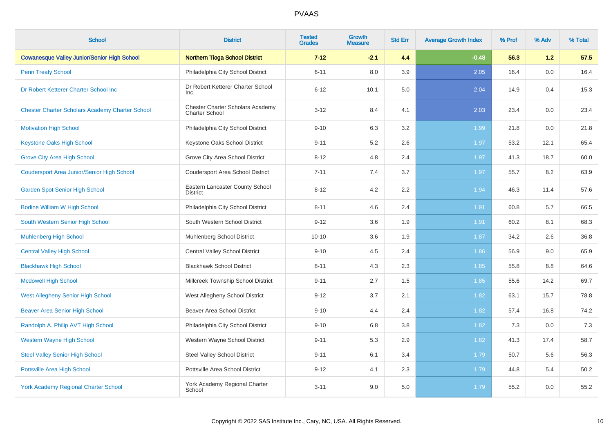| <b>School</b>                                          | <b>District</b>                                                  | <b>Tested</b><br><b>Grades</b> | <b>Growth</b><br><b>Measure</b> | <b>Std Err</b> | <b>Average Growth Index</b> | % Prof | % Adv | % Total |
|--------------------------------------------------------|------------------------------------------------------------------|--------------------------------|---------------------------------|----------------|-----------------------------|--------|-------|---------|
| <b>Cowanesque Valley Junior/Senior High School</b>     | <b>Northern Tioga School District</b>                            | $7 - 12$                       | $-2.1$                          | 4.4            | $-0.48$                     | 56.3   | 1.2   | 57.5    |
| <b>Penn Treaty School</b>                              | Philadelphia City School District                                | $6 - 11$                       | 8.0                             | 3.9            | 2.05                        | 16.4   | 0.0   | 16.4    |
| Dr Robert Ketterer Charter School Inc                  | Dr Robert Ketterer Charter School<br><b>Inc</b>                  | $6 - 12$                       | 10.1                            | 5.0            | 2.04                        | 14.9   | 0.4   | 15.3    |
| <b>Chester Charter Scholars Academy Charter School</b> | <b>Chester Charter Scholars Academy</b><br><b>Charter School</b> | $3 - 12$                       | 8.4                             | 4.1            | 2.03                        | 23.4   | 0.0   | 23.4    |
| <b>Motivation High School</b>                          | Philadelphia City School District                                | $9 - 10$                       | 6.3                             | 3.2            | 1.99                        | 21.8   | 0.0   | 21.8    |
| <b>Keystone Oaks High School</b>                       | Keystone Oaks School District                                    | $9 - 11$                       | 5.2                             | 2.6            | 1.97                        | 53.2   | 12.1  | 65.4    |
| <b>Grove City Area High School</b>                     | Grove City Area School District                                  | $8 - 12$                       | 4.8                             | 2.4            | 1.97                        | 41.3   | 18.7  | 60.0    |
| <b>Coudersport Area Junior/Senior High School</b>      | <b>Coudersport Area School District</b>                          | $7 - 11$                       | 7.4                             | 3.7            | 1.97                        | 55.7   | 8.2   | 63.9    |
| <b>Garden Spot Senior High School</b>                  | Eastern Lancaster County School<br><b>District</b>               | $8 - 12$                       | 4.2                             | 2.2            | 1.94                        | 46.3   | 11.4  | 57.6    |
| <b>Bodine William W High School</b>                    | Philadelphia City School District                                | $8 - 11$                       | 4.6                             | 2.4            | 1.91                        | 60.8   | 5.7   | 66.5    |
| South Western Senior High School                       | South Western School District                                    | $9 - 12$                       | 3.6                             | 1.9            | 1.91                        | 60.2   | 8.1   | 68.3    |
| <b>Muhlenberg High School</b>                          | Muhlenberg School District                                       | $10 - 10$                      | 3.6                             | 1.9            | 1.87                        | 34.2   | 2.6   | 36.8    |
| <b>Central Valley High School</b>                      | <b>Central Valley School District</b>                            | $9 - 10$                       | 4.5                             | 2.4            | 1.86                        | 56.9   | 9.0   | 65.9    |
| <b>Blackhawk High School</b>                           | <b>Blackhawk School District</b>                                 | $8 - 11$                       | 4.3                             | 2.3            | 1.85                        | 55.8   | 8.8   | 64.6    |
| <b>Mcdowell High School</b>                            | Millcreek Township School District                               | $9 - 11$                       | 2.7                             | 1.5            | 1.85                        | 55.6   | 14.2  | 69.7    |
| <b>West Allegheny Senior High School</b>               | West Allegheny School District                                   | $9 - 12$                       | 3.7                             | 2.1            | 1.82                        | 63.1   | 15.7  | 78.8    |
| <b>Beaver Area Senior High School</b>                  | <b>Beaver Area School District</b>                               | $9 - 10$                       | 4.4                             | 2.4            | 1.82                        | 57.4   | 16.8  | 74.2    |
| Randolph A. Philip AVT High School                     | Philadelphia City School District                                | $9 - 10$                       | 6.8                             | 3.8            | 1.82                        | 7.3    | 0.0   | 7.3     |
| <b>Western Wayne High School</b>                       | Western Wayne School District                                    | $9 - 11$                       | 5.3                             | 2.9            | 1.82                        | 41.3   | 17.4  | 58.7    |
| <b>Steel Valley Senior High School</b>                 | <b>Steel Valley School District</b>                              | $9 - 11$                       | 6.1                             | 3.4            | 1.79                        | 50.7   | 5.6   | 56.3    |
| Pottsville Area High School                            | Pottsville Area School District                                  | $9 - 12$                       | 4.1                             | 2.3            | 1.79                        | 44.8   | 5.4   | 50.2    |
| <b>York Academy Regional Charter School</b>            | York Academy Regional Charter<br>School                          | $3 - 11$                       | 9.0                             | 5.0            | 1.79                        | 55.2   | 0.0   | 55.2    |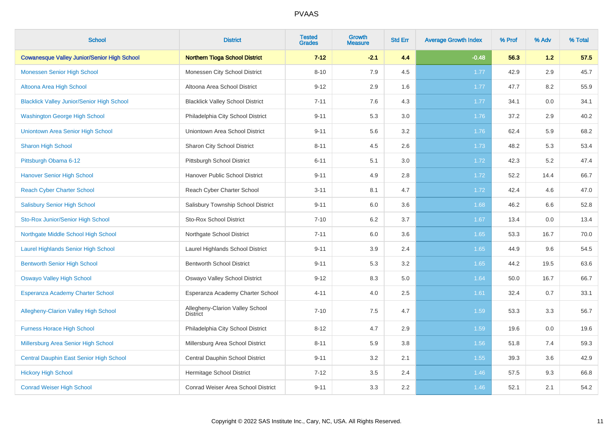| <b>School</b>                                      | <b>District</b>                                    | <b>Tested</b><br><b>Grades</b> | <b>Growth</b><br><b>Measure</b> | <b>Std Err</b> | <b>Average Growth Index</b> | % Prof | % Adv | % Total |
|----------------------------------------------------|----------------------------------------------------|--------------------------------|---------------------------------|----------------|-----------------------------|--------|-------|---------|
| <b>Cowanesque Valley Junior/Senior High School</b> | <b>Northern Tioga School District</b>              | $7 - 12$                       | $-2.1$                          | 4.4            | $-0.48$                     | 56.3   | 1.2   | 57.5    |
| <b>Monessen Senior High School</b>                 | Monessen City School District                      | $8 - 10$                       | 7.9                             | 4.5            | 1.77                        | 42.9   | 2.9   | 45.7    |
| Altoona Area High School                           | Altoona Area School District                       | $9 - 12$                       | 2.9                             | 1.6            | 1.77                        | 47.7   | 8.2   | 55.9    |
| <b>Blacklick Valley Junior/Senior High School</b>  | <b>Blacklick Valley School District</b>            | $7 - 11$                       | 7.6                             | 4.3            | 1.77                        | 34.1   | 0.0   | 34.1    |
| <b>Washington George High School</b>               | Philadelphia City School District                  | $9 - 11$                       | 5.3                             | 3.0            | 1.76                        | 37.2   | 2.9   | 40.2    |
| <b>Uniontown Area Senior High School</b>           | Uniontown Area School District                     | $9 - 11$                       | 5.6                             | 3.2            | 1.76                        | 62.4   | 5.9   | 68.2    |
| <b>Sharon High School</b>                          | Sharon City School District                        | $8 - 11$                       | 4.5                             | 2.6            | 1.73                        | 48.2   | 5.3   | 53.4    |
| Pittsburgh Obama 6-12                              | Pittsburgh School District                         | $6 - 11$                       | 5.1                             | 3.0            | 1.72                        | 42.3   | 5.2   | 47.4    |
| <b>Hanover Senior High School</b>                  | Hanover Public School District                     | $9 - 11$                       | 4.9                             | 2.8            | 1.72                        | 52.2   | 14.4  | 66.7    |
| <b>Reach Cyber Charter School</b>                  | Reach Cyber Charter School                         | $3 - 11$                       | 8.1                             | 4.7            | 1.72                        | 42.4   | 4.6   | 47.0    |
| <b>Salisbury Senior High School</b>                | Salisbury Township School District                 | $9 - 11$                       | 6.0                             | 3.6            | 1.68                        | 46.2   | 6.6   | 52.8    |
| Sto-Rox Junior/Senior High School                  | Sto-Rox School District                            | $7 - 10$                       | 6.2                             | 3.7            | 1.67                        | 13.4   | 0.0   | 13.4    |
| Northgate Middle School High School                | Northgate School District                          | $7 - 11$                       | 6.0                             | 3.6            | 1.65                        | 53.3   | 16.7  | 70.0    |
| Laurel Highlands Senior High School                | Laurel Highlands School District                   | $9 - 11$                       | 3.9                             | 2.4            | 1.65                        | 44.9   | 9.6   | 54.5    |
| <b>Bentworth Senior High School</b>                | <b>Bentworth School District</b>                   | $9 - 11$                       | 5.3                             | 3.2            | 1.65                        | 44.2   | 19.5  | 63.6    |
| <b>Oswayo Valley High School</b>                   | Oswayo Valley School District                      | $9 - 12$                       | 8.3                             | 5.0            | 1.64                        | 50.0   | 16.7  | 66.7    |
| <b>Esperanza Academy Charter School</b>            | Esperanza Academy Charter School                   | $4 - 11$                       | 4.0                             | 2.5            | 1.61                        | 32.4   | 0.7   | 33.1    |
| <b>Allegheny-Clarion Valley High School</b>        | Allegheny-Clarion Valley School<br><b>District</b> | $7 - 10$                       | 7.5                             | 4.7            | 1.59                        | 53.3   | 3.3   | 56.7    |
| <b>Furness Horace High School</b>                  | Philadelphia City School District                  | $8 - 12$                       | 4.7                             | 2.9            | 1.59                        | 19.6   | 0.0   | 19.6    |
| Millersburg Area Senior High School                | Millersburg Area School District                   | $8 - 11$                       | 5.9                             | 3.8            | 1.56                        | 51.8   | 7.4   | 59.3    |
| <b>Central Dauphin East Senior High School</b>     | Central Dauphin School District                    | $9 - 11$                       | 3.2                             | 2.1            | 1.55                        | 39.3   | 3.6   | 42.9    |
| <b>Hickory High School</b>                         | Hermitage School District                          | $7 - 12$                       | 3.5                             | 2.4            | 1.46                        | 57.5   | 9.3   | 66.8    |
| <b>Conrad Weiser High School</b>                   | <b>Conrad Weiser Area School District</b>          | $9 - 11$                       | 3.3                             | 2.2            | 1.46                        | 52.1   | 2.1   | 54.2    |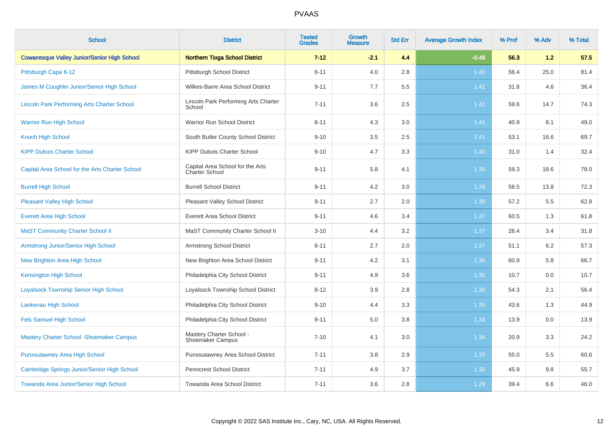| <b>School</b>                                      | <b>District</b>                                     | <b>Tested</b><br><b>Grades</b> | <b>Growth</b><br><b>Measure</b> | <b>Std Err</b> | <b>Average Growth Index</b> | % Prof | % Adv | % Total |
|----------------------------------------------------|-----------------------------------------------------|--------------------------------|---------------------------------|----------------|-----------------------------|--------|-------|---------|
| <b>Cowanesque Valley Junior/Senior High School</b> | <b>Northern Tioga School District</b>               | $7 - 12$                       | $-2.1$                          | 4.4            | $-0.48$                     | 56.3   | 1.2   | 57.5    |
| Pittsburgh Capa 6-12                               | <b>Pittsburgh School District</b>                   | $6 - 11$                       | 4.0                             | 2.8            | 1.45                        | 56.4   | 25.0  | 81.4    |
| James M Coughlin Junior/Senior High School         | Wilkes-Barre Area School District                   | $9 - 11$                       | 7.7                             | 5.5            | 1.42                        | 31.8   | 4.6   | 36.4    |
| <b>Lincoln Park Performing Arts Charter School</b> | Lincoln Park Performing Arts Charter<br>School      | $7 - 11$                       | 3.6                             | 2.5            | 1.42                        | 59.6   | 14.7  | 74.3    |
| <b>Warrior Run High School</b>                     | Warrior Run School District                         | $8 - 11$                       | 4.3                             | 3.0            | 1.41                        | 40.9   | 8.1   | 49.0    |
| <b>Knoch High School</b>                           | South Butler County School District                 | $9 - 10$                       | 3.5                             | 2.5            | 1.41                        | 53.1   | 16.6  | 69.7    |
| <b>KIPP Dubois Charter School</b>                  | KIPP Dubois Charter School                          | $9 - 10$                       | 4.7                             | 3.3            | 1.40                        | 31.0   | 1.4   | 32.4    |
| Capital Area School for the Arts Charter School    | Capital Area School for the Arts<br>Charter School  | $9 - 11$                       | 5.8                             | 4.1            | 1.39                        | 59.3   | 18.6  | 78.0    |
| <b>Burrell High School</b>                         | <b>Burrell School District</b>                      | $9 - 11$                       | 4.2                             | 3.0            | 1.39                        | 58.5   | 13.8  | 72.3    |
| <b>Pleasant Valley High School</b>                 | Pleasant Valley School District                     | $9 - 11$                       | 2.7                             | 2.0            | 1.39                        | 57.2   | 5.5   | 62.8    |
| <b>Everett Area High School</b>                    | <b>Everett Area School District</b>                 | $9 - 11$                       | 4.6                             | 3.4            | 1.37                        | 60.5   | 1.3   | 61.8    |
| <b>MaST Community Charter School II</b>            | MaST Community Charter School II                    | $3 - 10$                       | 4.4                             | 3.2            | 1.37                        | 28.4   | 3.4   | 31.8    |
| Armstrong Junior/Senior High School                | <b>Armstrong School District</b>                    | $6 - 11$                       | 2.7                             | 2.0            | 1.37                        | 51.1   | 6.2   | 57.3    |
| New Brighton Area High School                      | New Brighton Area School District                   | $9 - 11$                       | 4.2                             | 3.1            | 1.36                        | 60.9   | 5.8   | 66.7    |
| <b>Kensington High School</b>                      | Philadelphia City School District                   | $9 - 11$                       | 4.9                             | 3.6            | 1.36                        | 10.7   | 0.0   | 10.7    |
| <b>Loyalsock Township Senior High School</b>       | Loyalsock Township School District                  | $8 - 12$                       | 3.9                             | 2.8            | 1.36                        | 54.3   | 2.1   | 56.4    |
| Lankenau High School                               | Philadelphia City School District                   | $9 - 10$                       | 4.4                             | 3.3            | 1.35                        | 43.6   | 1.3   | 44.9    |
| <b>Fels Samuel High School</b>                     | Philadelphia City School District                   | $9 - 11$                       | 5.0                             | 3.8            | 1.34                        | 13.9   | 0.0   | 13.9    |
| <b>Mastery Charter School - Shoemaker Campus</b>   | Mastery Charter School -<br><b>Shoemaker Campus</b> | $7 - 10$                       | 4.1                             | 3.0            | 1.34                        | 20.9   | 3.3   | 24.2    |
| <b>Punxsutawney Area High School</b>               | Punxsutawney Area School District                   | $7 - 11$                       | 3.8                             | 2.9            | 1.33                        | 55.0   | 5.5   | 60.6    |
| Cambridge Springs Junior/Senior High School        | <b>Penncrest School District</b>                    | $7 - 11$                       | 4.9                             | 3.7            | 1.30                        | 45.9   | 9.8   | 55.7    |
| Towanda Area Junior/Senior High School             | Towanda Area School District                        | $7 - 11$                       | 3.6                             | 2.8            | 1.29                        | 39.4   | 6.6   | 46.0    |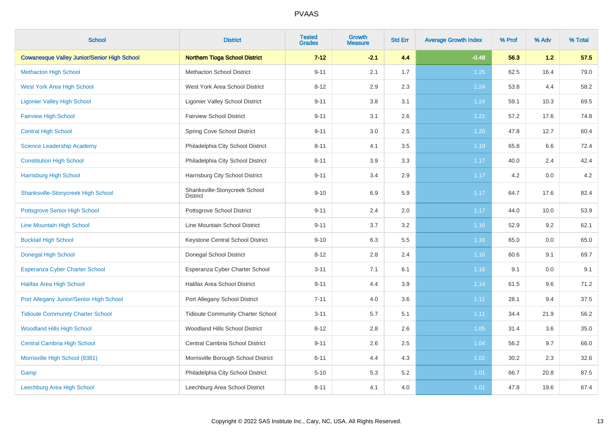| <b>School</b>                                      | <b>District</b>                                  | <b>Tested</b><br><b>Grades</b> | <b>Growth</b><br><b>Measure</b> | <b>Std Err</b> | <b>Average Growth Index</b> | % Prof | % Adv | % Total |
|----------------------------------------------------|--------------------------------------------------|--------------------------------|---------------------------------|----------------|-----------------------------|--------|-------|---------|
| <b>Cowanesque Valley Junior/Senior High School</b> | <b>Northern Tioga School District</b>            | $7 - 12$                       | $-2.1$                          | 4.4            | $-0.48$                     | 56.3   | 1.2   | 57.5    |
| <b>Methacton High School</b>                       | <b>Methacton School District</b>                 | $9 - 11$                       | 2.1                             | 1.7            | 1.25                        | 62.5   | 16.4  | 79.0    |
| <b>West York Area High School</b>                  | West York Area School District                   | $8 - 12$                       | 2.9                             | 2.3            | 1.24                        | 53.8   | 4.4   | 58.2    |
| <b>Ligonier Valley High School</b>                 | <b>Ligonier Valley School District</b>           | $9 - 11$                       | 3.8                             | 3.1            | 1.24                        | 59.1   | 10.3  | 69.5    |
| <b>Fairview High School</b>                        | <b>Fairview School District</b>                  | $9 - 11$                       | 3.1                             | 2.6            | 1.21                        | 57.2   | 17.6  | 74.8    |
| <b>Central High School</b>                         | Spring Cove School District                      | $9 - 11$                       | 3.0                             | 2.5            | 1.20                        | 47.8   | 12.7  | 60.4    |
| <b>Science Leadership Academy</b>                  | Philadelphia City School District                | $8 - 11$                       | 4.1                             | 3.5            | 1.19                        | 65.8   | 6.6   | 72.4    |
| <b>Constitution High School</b>                    | Philadelphia City School District                | $8 - 11$                       | 3.9                             | 3.3            | 1.17                        | 40.0   | 2.4   | 42.4    |
| <b>Harrisburg High School</b>                      | Harrisburg City School District                  | $9 - 11$                       | 3.4                             | 2.9            | 1.17                        | 4.2    | 0.0   | 4.2     |
| <b>Shanksville-Stonycreek High School</b>          | Shanksville-Stonycreek School<br><b>District</b> | $9 - 10$                       | 6.9                             | 5.9            | 1.17                        | 64.7   | 17.6  | 82.4    |
| <b>Pottsgrove Senior High School</b>               | Pottsgrove School District                       | $9 - 11$                       | 2.4                             | $2.0\,$        | 1.17                        | 44.0   | 10.0  | 53.9    |
| Line Mountain High School                          | Line Mountain School District                    | $9 - 11$                       | 3.7                             | $3.2\,$        | 1.16                        | 52.9   | 9.2   | 62.1    |
| <b>Bucktail High School</b>                        | Keystone Central School District                 | $9 - 10$                       | 6.3                             | 5.5            | 1.16                        | 65.0   | 0.0   | 65.0    |
| <b>Donegal High School</b>                         | Donegal School District                          | $8 - 12$                       | 2.8                             | 2.4            | 1.16                        | 60.6   | 9.1   | 69.7    |
| <b>Esperanza Cyber Charter School</b>              | Esperanza Cyber Charter School                   | $3 - 11$                       | 7.1                             | 6.1            | 1.16                        | 9.1    | 0.0   | 9.1     |
| <b>Halifax Area High School</b>                    | <b>Halifax Area School District</b>              | $9 - 11$                       | 4.4                             | 3.9            | 1.14                        | 61.5   | 9.6   | 71.2    |
| Port Allegany Junior/Senior High School            | Port Allegany School District                    | $7 - 11$                       | 4.0                             | 3.6            | 1.11                        | 28.1   | 9.4   | 37.5    |
| <b>Tidioute Community Charter School</b>           | <b>Tidioute Community Charter School</b>         | $3 - 11$                       | 5.7                             | 5.1            | 1.11                        | 34.4   | 21.9  | 56.2    |
| <b>Woodland Hills High School</b>                  | Woodland Hills School District                   | $8 - 12$                       | 2.8                             | 2.6            | 1.05                        | 31.4   | 3.6   | 35.0    |
| <b>Central Cambria High School</b>                 | Central Cambria School District                  | $9 - 11$                       | 2.6                             | 2.5            | 1.04                        | 56.2   | 9.7   | 66.0    |
| Morrisville High School (8381)                     | Morrisville Borough School District              | $6 - 11$                       | 4.4                             | 4.3            | 1.02                        | 30.2   | 2.3   | 32.6    |
| Gamp                                               | Philadelphia City School District                | $5 - 10$                       | 5.3                             | 5.2            | 1.01                        | 66.7   | 20.8  | 87.5    |
| Leechburg Area High School                         | Leechburg Area School District                   | $8 - 11$                       | 4.1                             | 4.0            | 1.01                        | 47.8   | 19.6  | 67.4    |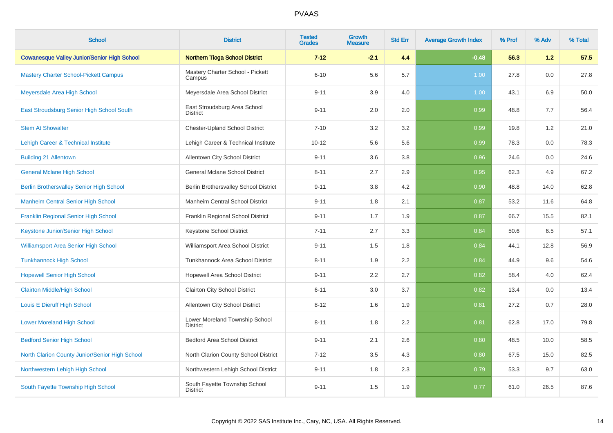| <b>School</b>                                      | <b>District</b>                                   | <b>Tested</b><br><b>Grades</b> | Growth<br><b>Measure</b> | <b>Std Err</b> | <b>Average Growth Index</b> | % Prof | % Adv | % Total |
|----------------------------------------------------|---------------------------------------------------|--------------------------------|--------------------------|----------------|-----------------------------|--------|-------|---------|
| <b>Cowanesque Valley Junior/Senior High School</b> | <b>Northern Tioga School District</b>             | $7 - 12$                       | $-2.1$                   | 4.4            | $-0.48$                     | 56.3   | 1.2   | 57.5    |
| <b>Mastery Charter School-Pickett Campus</b>       | Mastery Charter School - Pickett<br>Campus        | $6 - 10$                       | 5.6                      | 5.7            | 1.00                        | 27.8   | 0.0   | 27.8    |
| Meyersdale Area High School                        | Meyersdale Area School District                   | $9 - 11$                       | 3.9                      | 4.0            | 1.00                        | 43.1   | 6.9   | 50.0    |
| East Stroudsburg Senior High School South          | East Stroudsburg Area School<br><b>District</b>   | $9 - 11$                       | 2.0                      | 2.0            | 0.99                        | 48.8   | 7.7   | 56.4    |
| <b>Stem At Showalter</b>                           | <b>Chester-Upland School District</b>             | $7 - 10$                       | 3.2                      | 3.2            | 0.99                        | 19.8   | 1.2   | 21.0    |
| Lehigh Career & Technical Institute                | Lehigh Career & Technical Institute               | $10 - 12$                      | 5.6                      | 5.6            | 0.99                        | 78.3   | 0.0   | 78.3    |
| <b>Building 21 Allentown</b>                       | Allentown City School District                    | $9 - 11$                       | 3.6                      | 3.8            | 0.96                        | 24.6   | 0.0   | 24.6    |
| <b>General Mclane High School</b>                  | <b>General Mclane School District</b>             | $8 - 11$                       | 2.7                      | 2.9            | 0.95                        | 62.3   | 4.9   | 67.2    |
| <b>Berlin Brothersvalley Senior High School</b>    | Berlin Brothersvalley School District             | $9 - 11$                       | 3.8                      | 4.2            | 0.90                        | 48.8   | 14.0  | 62.8    |
| <b>Manheim Central Senior High School</b>          | Manheim Central School District                   | $9 - 11$                       | 1.8                      | 2.1            | 0.87                        | 53.2   | 11.6  | 64.8    |
| Franklin Regional Senior High School               | Franklin Regional School District                 | $9 - 11$                       | 1.7                      | 1.9            | 0.87                        | 66.7   | 15.5  | 82.1    |
| Keystone Junior/Senior High School                 | Keystone School District                          | $7 - 11$                       | 2.7                      | 3.3            | 0.84                        | 50.6   | 6.5   | 57.1    |
| <b>Williamsport Area Senior High School</b>        | Williamsport Area School District                 | $9 - 11$                       | 1.5                      | 1.8            | 0.84                        | 44.1   | 12.8  | 56.9    |
| <b>Tunkhannock High School</b>                     | Tunkhannock Area School District                  | $8 - 11$                       | 1.9                      | 2.2            | 0.84                        | 44.9   | 9.6   | 54.6    |
| <b>Hopewell Senior High School</b>                 | Hopewell Area School District                     | $9 - 11$                       | 2.2                      | 2.7            | 0.82                        | 58.4   | 4.0   | 62.4    |
| <b>Clairton Middle/High School</b>                 | <b>Clairton City School District</b>              | $6 - 11$                       | 3.0                      | 3.7            | 0.82                        | 13.4   | 0.0   | 13.4    |
| Louis E Dieruff High School                        | Allentown City School District                    | $8 - 12$                       | 1.6                      | 1.9            | 0.81                        | 27.2   | 0.7   | 28.0    |
| <b>Lower Moreland High School</b>                  | Lower Moreland Township School<br><b>District</b> | $8 - 11$                       | 1.8                      | 2.2            | 0.81                        | 62.8   | 17.0  | 79.8    |
| <b>Bedford Senior High School</b>                  | <b>Bedford Area School District</b>               | $9 - 11$                       | 2.1                      | 2.6            | 0.80                        | 48.5   | 10.0  | 58.5    |
| North Clarion County Junior/Senior High School     | North Clarion County School District              | $7 - 12$                       | 3.5                      | 4.3            | 0.80                        | 67.5   | 15.0  | 82.5    |
| Northwestern Lehigh High School                    | Northwestern Lehigh School District               | $9 - 11$                       | 1.8                      | 2.3            | 0.79                        | 53.3   | 9.7   | 63.0    |
| South Fayette Township High School                 | South Fayette Township School<br><b>District</b>  | $9 - 11$                       | 1.5                      | 1.9            | 0.77                        | 61.0   | 26.5  | 87.6    |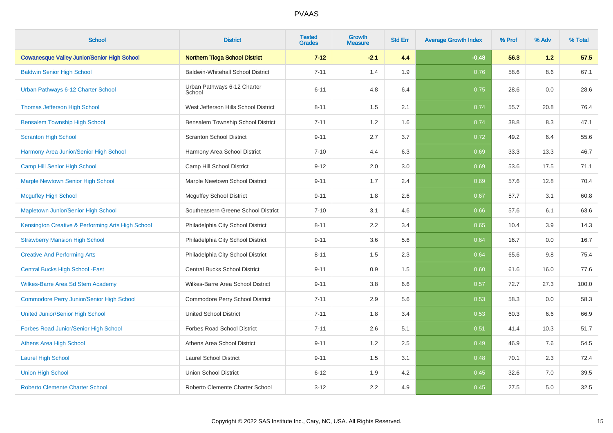| <b>School</b>                                      | <b>District</b>                          | <b>Tested</b><br><b>Grades</b> | <b>Growth</b><br><b>Measure</b> | <b>Std Err</b> | <b>Average Growth Index</b> | % Prof | % Adv | % Total |
|----------------------------------------------------|------------------------------------------|--------------------------------|---------------------------------|----------------|-----------------------------|--------|-------|---------|
| <b>Cowanesque Valley Junior/Senior High School</b> | <b>Northern Tioga School District</b>    | $7 - 12$                       | $-2.1$                          | 4.4            | $-0.48$                     | 56.3   | 1.2   | 57.5    |
| <b>Baldwin Senior High School</b>                  | <b>Baldwin-Whitehall School District</b> | $7 - 11$                       | 1.4                             | 1.9            | 0.76                        | 58.6   | 8.6   | 67.1    |
| Urban Pathways 6-12 Charter School                 | Urban Pathways 6-12 Charter<br>School    | $6 - 11$                       | 4.8                             | 6.4            | 0.75                        | 28.6   | 0.0   | 28.6    |
| <b>Thomas Jefferson High School</b>                | West Jefferson Hills School District     | $8 - 11$                       | 1.5                             | 2.1            | 0.74                        | 55.7   | 20.8  | 76.4    |
| <b>Bensalem Township High School</b>               | Bensalem Township School District        | $7 - 11$                       | 1.2                             | 1.6            | 0.74                        | 38.8   | 8.3   | 47.1    |
| <b>Scranton High School</b>                        | <b>Scranton School District</b>          | $9 - 11$                       | 2.7                             | 3.7            | 0.72                        | 49.2   | 6.4   | 55.6    |
| Harmony Area Junior/Senior High School             | Harmony Area School District             | $7 - 10$                       | 4.4                             | 6.3            | 0.69                        | 33.3   | 13.3  | 46.7    |
| Camp Hill Senior High School                       | Camp Hill School District                | $9 - 12$                       | 2.0                             | 3.0            | 0.69                        | 53.6   | 17.5  | 71.1    |
| <b>Marple Newtown Senior High School</b>           | Marple Newtown School District           | $9 - 11$                       | 1.7                             | 2.4            | 0.69                        | 57.6   | 12.8  | 70.4    |
| <b>Mcguffey High School</b>                        | <b>Mcguffey School District</b>          | $9 - 11$                       | 1.8                             | 2.6            | 0.67                        | 57.7   | 3.1   | 60.8    |
| Mapletown Junior/Senior High School                | Southeastern Greene School District      | $7 - 10$                       | 3.1                             | 4.6            | 0.66                        | 57.6   | 6.1   | 63.6    |
| Kensington Creative & Performing Arts High School  | Philadelphia City School District        | $8 - 11$                       | 2.2                             | 3.4            | 0.65                        | 10.4   | 3.9   | 14.3    |
| <b>Strawberry Mansion High School</b>              | Philadelphia City School District        | $9 - 11$                       | 3.6                             | 5.6            | 0.64                        | 16.7   | 0.0   | 16.7    |
| <b>Creative And Performing Arts</b>                | Philadelphia City School District        | $8 - 11$                       | 1.5                             | 2.3            | 0.64                        | 65.6   | 9.8   | 75.4    |
| <b>Central Bucks High School - East</b>            | Central Bucks School District            | $9 - 11$                       | 0.9                             | 1.5            | 0.60                        | 61.6   | 16.0  | 77.6    |
| Wilkes-Barre Area Sd Stem Academy                  | Wilkes-Barre Area School District        | $9 - 11$                       | 3.8                             | 6.6            | 0.57                        | 72.7   | 27.3  | 100.0   |
| <b>Commodore Perry Junior/Senior High School</b>   | Commodore Perry School District          | $7 - 11$                       | 2.9                             | 5.6            | 0.53                        | 58.3   | 0.0   | 58.3    |
| <b>United Junior/Senior High School</b>            | <b>United School District</b>            | $7 - 11$                       | 1.8                             | 3.4            | 0.53                        | 60.3   | 6.6   | 66.9    |
| Forbes Road Junior/Senior High School              | <b>Forbes Road School District</b>       | $7 - 11$                       | 2.6                             | 5.1            | 0.51                        | 41.4   | 10.3  | 51.7    |
| <b>Athens Area High School</b>                     | Athens Area School District              | $9 - 11$                       | 1.2                             | 2.5            | 0.49                        | 46.9   | 7.6   | 54.5    |
| <b>Laurel High School</b>                          | <b>Laurel School District</b>            | $9 - 11$                       | 1.5                             | 3.1            | 0.48                        | 70.1   | 2.3   | 72.4    |
| <b>Union High School</b>                           | <b>Union School District</b>             | $6 - 12$                       | 1.9                             | 4.2            | 0.45                        | 32.6   | 7.0   | 39.5    |
| <b>Roberto Clemente Charter School</b>             | Roberto Clemente Charter School          | $3 - 12$                       | 2.2                             | 4.9            | 0.45                        | 27.5   | 5.0   | 32.5    |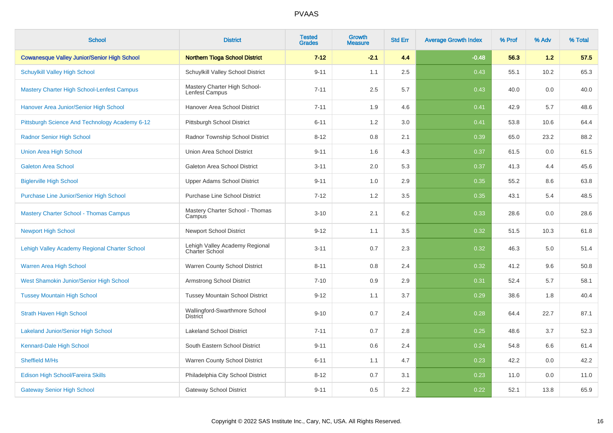| <b>School</b>                                      | <b>District</b>                                         | <b>Tested</b><br><b>Grades</b> | <b>Growth</b><br><b>Measure</b> | <b>Std Err</b> | <b>Average Growth Index</b> | % Prof | % Adv | % Total |
|----------------------------------------------------|---------------------------------------------------------|--------------------------------|---------------------------------|----------------|-----------------------------|--------|-------|---------|
| <b>Cowanesque Valley Junior/Senior High School</b> | <b>Northern Tioga School District</b>                   | $7 - 12$                       | $-2.1$                          | 4.4            | $-0.48$                     | 56.3   | 1.2   | 57.5    |
| <b>Schuylkill Valley High School</b>               | Schuylkill Valley School District                       | $9 - 11$                       | 1.1                             | 2.5            | 0.43                        | 55.1   | 10.2  | 65.3    |
| <b>Mastery Charter High School-Lenfest Campus</b>  | Mastery Charter High School-<br>Lenfest Campus          | $7 - 11$                       | 2.5                             | 5.7            | 0.43                        | 40.0   | 0.0   | 40.0    |
| Hanover Area Junior/Senior High School             | Hanover Area School District                            | $7 - 11$                       | 1.9                             | 4.6            | 0.41                        | 42.9   | 5.7   | 48.6    |
| Pittsburgh Science And Technology Academy 6-12     | Pittsburgh School District                              | $6 - 11$                       | 1.2                             | 3.0            | 0.41                        | 53.8   | 10.6  | 64.4    |
| <b>Radnor Senior High School</b>                   | Radnor Township School District                         | $8 - 12$                       | 0.8                             | 2.1            | 0.39                        | 65.0   | 23.2  | 88.2    |
| <b>Union Area High School</b>                      | Union Area School District                              | $9 - 11$                       | 1.6                             | 4.3            | 0.37                        | 61.5   | 0.0   | 61.5    |
| <b>Galeton Area School</b>                         | Galeton Area School District                            | $3 - 11$                       | 2.0                             | 5.3            | 0.37                        | 41.3   | 4.4   | 45.6    |
| <b>Biglerville High School</b>                     | <b>Upper Adams School District</b>                      | $9 - 11$                       | 1.0                             | 2.9            | 0.35                        | 55.2   | 8.6   | 63.8    |
| Purchase Line Junior/Senior High School            | <b>Purchase Line School District</b>                    | $7 - 12$                       | 1.2                             | 3.5            | 0.35                        | 43.1   | 5.4   | 48.5    |
| <b>Mastery Charter School - Thomas Campus</b>      | Mastery Charter School - Thomas<br>Campus               | $3 - 10$                       | 2.1                             | 6.2            | 0.33                        | 28.6   | 0.0   | 28.6    |
| <b>Newport High School</b>                         | <b>Newport School District</b>                          | $9 - 12$                       | 1.1                             | 3.5            | 0.32                        | 51.5   | 10.3  | 61.8    |
| Lehigh Valley Academy Regional Charter School      | Lehigh Valley Academy Regional<br><b>Charter School</b> | $3 - 11$                       | 0.7                             | 2.3            | 0.32                        | 46.3   | 5.0   | 51.4    |
| Warren Area High School                            | Warren County School District                           | $8 - 11$                       | 0.8                             | 2.4            | 0.32                        | 41.2   | 9.6   | 50.8    |
| West Shamokin Junior/Senior High School            | <b>Armstrong School District</b>                        | $7 - 10$                       | 0.9                             | 2.9            | 0.31                        | 52.4   | 5.7   | 58.1    |
| <b>Tussey Mountain High School</b>                 | <b>Tussey Mountain School District</b>                  | $9 - 12$                       | 1.1                             | 3.7            | 0.29                        | 38.6   | 1.8   | 40.4    |
| <b>Strath Haven High School</b>                    | Wallingford-Swarthmore School<br><b>District</b>        | $9 - 10$                       | 0.7                             | 2.4            | 0.28                        | 64.4   | 22.7  | 87.1    |
| <b>Lakeland Junior/Senior High School</b>          | <b>Lakeland School District</b>                         | $7 - 11$                       | 0.7                             | 2.8            | 0.25                        | 48.6   | 3.7   | 52.3    |
| Kennard-Dale High School                           | South Eastern School District                           | $9 - 11$                       | 0.6                             | 2.4            | 0.24                        | 54.8   | 6.6   | 61.4    |
| Sheffield M/Hs                                     | Warren County School District                           | $6 - 11$                       | 1.1                             | 4.7            | 0.23                        | 42.2   | 0.0   | 42.2    |
| Edison High School/Fareira Skills                  | Philadelphia City School District                       | $8 - 12$                       | 0.7                             | 3.1            | 0.23                        | 11.0   | 0.0   | 11.0    |
| <b>Gateway Senior High School</b>                  | <b>Gateway School District</b>                          | $9 - 11$                       | 0.5                             | 2.2            | 0.22                        | 52.1   | 13.8  | 65.9    |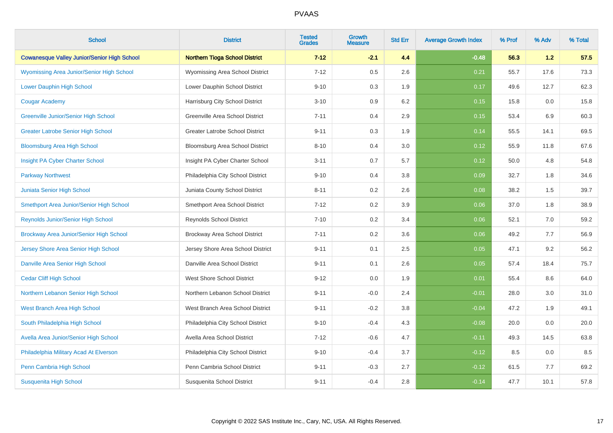| <b>School</b>                                      | <b>District</b>                        | <b>Tested</b><br><b>Grades</b> | <b>Growth</b><br><b>Measure</b> | <b>Std Err</b> | <b>Average Growth Index</b> | % Prof | % Adv | % Total |
|----------------------------------------------------|----------------------------------------|--------------------------------|---------------------------------|----------------|-----------------------------|--------|-------|---------|
| <b>Cowanesque Valley Junior/Senior High School</b> | <b>Northern Tioga School District</b>  | $7 - 12$                       | $-2.1$                          | 4.4            | $-0.48$                     | 56.3   | 1.2   | 57.5    |
| Wyomissing Area Junior/Senior High School          | Wyomissing Area School District        | $7 - 12$                       | 0.5                             | 2.6            | 0.21                        | 55.7   | 17.6  | 73.3    |
| <b>Lower Dauphin High School</b>                   | Lower Dauphin School District          | $9 - 10$                       | 0.3                             | 1.9            | 0.17                        | 49.6   | 12.7  | 62.3    |
| <b>Cougar Academy</b>                              | Harrisburg City School District        | $3 - 10$                       | 0.9                             | 6.2            | 0.15                        | 15.8   | 0.0   | 15.8    |
| Greenville Junior/Senior High School               | Greenville Area School District        | $7 - 11$                       | 0.4                             | 2.9            | 0.15                        | 53.4   | 6.9   | 60.3    |
| <b>Greater Latrobe Senior High School</b>          | <b>Greater Latrobe School District</b> | $9 - 11$                       | 0.3                             | 1.9            | 0.14                        | 55.5   | 14.1  | 69.5    |
| <b>Bloomsburg Area High School</b>                 | Bloomsburg Area School District        | $8 - 10$                       | 0.4                             | 3.0            | 0.12                        | 55.9   | 11.8  | 67.6    |
| Insight PA Cyber Charter School                    | Insight PA Cyber Charter School        | $3 - 11$                       | 0.7                             | 5.7            | 0.12                        | 50.0   | 4.8   | 54.8    |
| <b>Parkway Northwest</b>                           | Philadelphia City School District      | $9 - 10$                       | 0.4                             | 3.8            | 0.09                        | 32.7   | 1.8   | 34.6    |
| Juniata Senior High School                         | Juniata County School District         | $8 - 11$                       | 0.2                             | 2.6            | 0.08                        | 38.2   | 1.5   | 39.7    |
| Smethport Area Junior/Senior High School           | Smethport Area School District         | $7 - 12$                       | 0.2                             | 3.9            | 0.06                        | 37.0   | 1.8   | 38.9    |
| <b>Reynolds Junior/Senior High School</b>          | <b>Reynolds School District</b>        | $7 - 10$                       | 0.2                             | 3.4            | 0.06                        | 52.1   | 7.0   | 59.2    |
| Brockway Area Junior/Senior High School            | Brockway Area School District          | $7 - 11$                       | 0.2                             | 3.6            | 0.06                        | 49.2   | 7.7   | 56.9    |
| Jersey Shore Area Senior High School               | Jersey Shore Area School District      | $9 - 11$                       | 0.1                             | 2.5            | 0.05                        | 47.1   | 9.2   | 56.2    |
| Danville Area Senior High School                   | Danville Area School District          | $9 - 11$                       | 0.1                             | 2.6            | 0.05                        | 57.4   | 18.4  | 75.7    |
| <b>Cedar Cliff High School</b>                     | <b>West Shore School District</b>      | $9 - 12$                       | 0.0                             | 1.9            | 0.01                        | 55.4   | 8.6   | 64.0    |
| Northern Lebanon Senior High School                | Northern Lebanon School District       | $9 - 11$                       | $-0.0$                          | 2.4            | $-0.01$                     | 28.0   | 3.0   | 31.0    |
| West Branch Area High School                       | West Branch Area School District       | $9 - 11$                       | $-0.2$                          | 3.8            | $-0.04$                     | 47.2   | 1.9   | 49.1    |
| South Philadelphia High School                     | Philadelphia City School District      | $9 - 10$                       | $-0.4$                          | 4.3            | $-0.08$                     | 20.0   | 0.0   | 20.0    |
| Avella Area Junior/Senior High School              | Avella Area School District            | $7 - 12$                       | $-0.6$                          | 4.7            | $-0.11$                     | 49.3   | 14.5  | 63.8    |
| Philadelphia Military Acad At Elverson             | Philadelphia City School District      | $9 - 10$                       | $-0.4$                          | 3.7            | $-0.12$                     | 8.5    | 0.0   | 8.5     |
| Penn Cambria High School                           | Penn Cambria School District           | $9 - 11$                       | $-0.3$                          | 2.7            | $-0.12$                     | 61.5   | 7.7   | 69.2    |
| <b>Susquenita High School</b>                      | Susquenita School District             | $9 - 11$                       | $-0.4$                          | 2.8            | $-0.14$                     | 47.7   | 10.1  | 57.8    |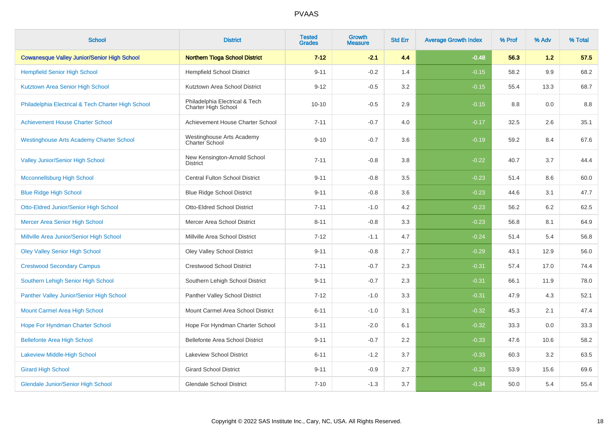| <b>School</b>                                      | <b>District</b>                                       | <b>Tested</b><br><b>Grades</b> | Growth<br><b>Measure</b> | <b>Std Err</b> | <b>Average Growth Index</b> | % Prof | % Adv | % Total |
|----------------------------------------------------|-------------------------------------------------------|--------------------------------|--------------------------|----------------|-----------------------------|--------|-------|---------|
| <b>Cowanesque Valley Junior/Senior High School</b> | <b>Northern Tioga School District</b>                 | $7 - 12$                       | $-2.1$                   | 4.4            | $-0.48$                     | 56.3   | 1.2   | 57.5    |
| <b>Hempfield Senior High School</b>                | <b>Hempfield School District</b>                      | $9 - 11$                       | $-0.2$                   | 1.4            | $-0.15$                     | 58.2   | 9.9   | 68.2    |
| Kutztown Area Senior High School                   | Kutztown Area School District                         | $9 - 12$                       | $-0.5$                   | 3.2            | $-0.15$                     | 55.4   | 13.3  | 68.7    |
| Philadelphia Electrical & Tech Charter High School | Philadelphia Electrical & Tech<br>Charter High School | $10 - 10$                      | $-0.5$                   | 2.9            | $-0.15$                     | 8.8    | 0.0   | 8.8     |
| <b>Achievement House Charter School</b>            | Achievement House Charter School                      | $7 - 11$                       | $-0.7$                   | 4.0            | $-0.17$                     | 32.5   | 2.6   | 35.1    |
| <b>Westinghouse Arts Academy Charter School</b>    | Westinghouse Arts Academy<br>Charter School           | $9 - 10$                       | $-0.7$                   | 3.6            | $-0.19$                     | 59.2   | 8.4   | 67.6    |
| <b>Valley Junior/Senior High School</b>            | New Kensington-Arnold School<br><b>District</b>       | $7 - 11$                       | $-0.8$                   | 3.8            | $-0.22$                     | 40.7   | 3.7   | 44.4    |
| Mcconnellsburg High School                         | <b>Central Fulton School District</b>                 | $9 - 11$                       | $-0.8$                   | 3.5            | $-0.23$                     | 51.4   | 8.6   | 60.0    |
| <b>Blue Ridge High School</b>                      | <b>Blue Ridge School District</b>                     | $9 - 11$                       | $-0.8$                   | 3.6            | $-0.23$                     | 44.6   | 3.1   | 47.7    |
| <b>Otto-Eldred Junior/Senior High School</b>       | <b>Otto-Eldred School District</b>                    | $7 - 11$                       | $-1.0$                   | 4.2            | $-0.23$                     | 56.2   | 6.2   | 62.5    |
| Mercer Area Senior High School                     | Mercer Area School District                           | $8 - 11$                       | $-0.8$                   | 3.3            | $-0.23$                     | 56.8   | 8.1   | 64.9    |
| Millville Area Junior/Senior High School           | Millville Area School District                        | $7 - 12$                       | $-1.1$                   | 4.7            | $-0.24$                     | 51.4   | 5.4   | 56.8    |
| <b>Oley Valley Senior High School</b>              | Oley Valley School District                           | $9 - 11$                       | $-0.8$                   | 2.7            | $-0.29$                     | 43.1   | 12.9  | 56.0    |
| <b>Crestwood Secondary Campus</b>                  | <b>Crestwood School District</b>                      | $7 - 11$                       | $-0.7$                   | 2.3            | $-0.31$                     | 57.4   | 17.0  | 74.4    |
| Southern Lehigh Senior High School                 | Southern Lehigh School District                       | $9 - 11$                       | $-0.7$                   | 2.3            | $-0.31$                     | 66.1   | 11.9  | 78.0    |
| Panther Valley Junior/Senior High School           | Panther Valley School District                        | $7 - 12$                       | $-1.0$                   | 3.3            | $-0.31$                     | 47.9   | 4.3   | 52.1    |
| Mount Carmel Area High School                      | Mount Carmel Area School District                     | $6 - 11$                       | $-1.0$                   | 3.1            | $-0.32$                     | 45.3   | 2.1   | 47.4    |
| Hope For Hyndman Charter School                    | Hope For Hyndman Charter School                       | $3 - 11$                       | $-2.0$                   | 6.1            | $-0.32$                     | 33.3   | 0.0   | 33.3    |
| <b>Bellefonte Area High School</b>                 | <b>Bellefonte Area School District</b>                | $9 - 11$                       | $-0.7$                   | 2.2            | $-0.33$                     | 47.6   | 10.6  | 58.2    |
| <b>Lakeview Middle-High School</b>                 | <b>Lakeview School District</b>                       | $6 - 11$                       | $-1.2$                   | 3.7            | $-0.33$                     | 60.3   | 3.2   | 63.5    |
| <b>Girard High School</b>                          | <b>Girard School District</b>                         | $9 - 11$                       | $-0.9$                   | 2.7            | $-0.33$                     | 53.9   | 15.6  | 69.6    |
| <b>Glendale Junior/Senior High School</b>          | <b>Glendale School District</b>                       | $7 - 10$                       | $-1.3$                   | 3.7            | $-0.34$                     | 50.0   | 5.4   | 55.4    |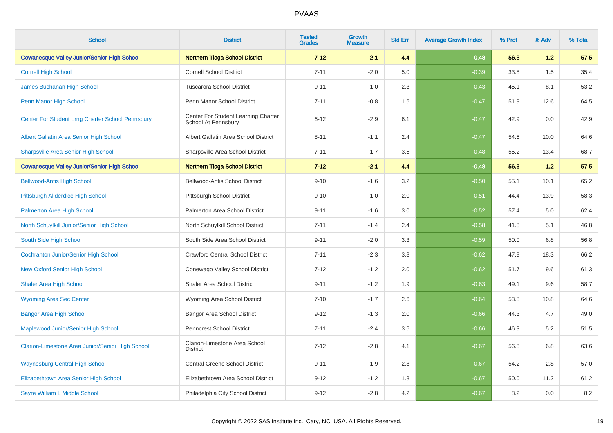| <b>School</b>                                      | <b>District</b>                                            | <b>Tested</b><br><b>Grades</b> | <b>Growth</b><br><b>Measure</b> | <b>Std Err</b> | <b>Average Growth Index</b> | % Prof | % Adv | % Total |
|----------------------------------------------------|------------------------------------------------------------|--------------------------------|---------------------------------|----------------|-----------------------------|--------|-------|---------|
| <b>Cowanesque Valley Junior/Senior High School</b> | <b>Northern Tioga School District</b>                      | $7 - 12$                       | $-2.1$                          | 4.4            | $-0.48$                     | 56.3   | 1.2   | 57.5    |
| <b>Cornell High School</b>                         | <b>Cornell School District</b>                             | $7 - 11$                       | $-2.0$                          | 5.0            | $-0.39$                     | 33.8   | 1.5   | 35.4    |
| James Buchanan High School                         | <b>Tuscarora School District</b>                           | $9 - 11$                       | $-1.0$                          | 2.3            | $-0.43$                     | 45.1   | 8.1   | 53.2    |
| Penn Manor High School                             | Penn Manor School District                                 | $7 - 11$                       | $-0.8$                          | 1.6            | $-0.47$                     | 51.9   | 12.6  | 64.5    |
| Center For Student Lrng Charter School Pennsbury   | Center For Student Learning Charter<br>School At Pennsbury | $6 - 12$                       | $-2.9$                          | 6.1            | $-0.47$                     | 42.9   | 0.0   | 42.9    |
| Albert Gallatin Area Senior High School            | Albert Gallatin Area School District                       | $8 - 11$                       | $-1.1$                          | 2.4            | $-0.47$                     | 54.5   | 10.0  | 64.6    |
| <b>Sharpsville Area Senior High School</b>         | Sharpsville Area School District                           | $7 - 11$                       | $-1.7$                          | 3.5            | $-0.48$                     | 55.2   | 13.4  | 68.7    |
| <b>Cowanesque Valley Junior/Senior High School</b> | <b>Northern Tioga School District</b>                      | $7 - 12$                       | $-2.1$                          | 4.4            | $-0.48$                     | 56.3   | 1.2   | 57.5    |
| <b>Bellwood-Antis High School</b>                  | Bellwood-Antis School District                             | $9 - 10$                       | $-1.6$                          | 3.2            | $-0.50$                     | 55.1   | 10.1  | 65.2    |
| <b>Pittsburgh Allderdice High School</b>           | Pittsburgh School District                                 | $9 - 10$                       | $-1.0$                          | 2.0            | $-0.51$                     | 44.4   | 13.9  | 58.3    |
| Palmerton Area High School                         | Palmerton Area School District                             | $9 - 11$                       | $-1.6$                          | 3.0            | $-0.52$                     | 57.4   | 5.0   | 62.4    |
| North Schuylkill Junior/Senior High School         | North Schuylkill School District                           | $7 - 11$                       | $-1.4$                          | 2.4            | $-0.58$                     | 41.8   | 5.1   | 46.8    |
| South Side High School                             | South Side Area School District                            | $9 - 11$                       | $-2.0$                          | 3.3            | $-0.59$                     | 50.0   | 6.8   | 56.8    |
| <b>Cochranton Junior/Senior High School</b>        | <b>Crawford Central School District</b>                    | $7 - 11$                       | $-2.3$                          | 3.8            | $-0.62$                     | 47.9   | 18.3  | 66.2    |
| <b>New Oxford Senior High School</b>               | Conewago Valley School District                            | $7 - 12$                       | $-1.2$                          | 2.0            | $-0.62$                     | 51.7   | 9.6   | 61.3    |
| <b>Shaler Area High School</b>                     | <b>Shaler Area School District</b>                         | $9 - 11$                       | $-1.2$                          | 1.9            | $-0.63$                     | 49.1   | 9.6   | 58.7    |
| <b>Wyoming Area Sec Center</b>                     | Wyoming Area School District                               | $7 - 10$                       | $-1.7$                          | 2.6            | $-0.64$                     | 53.8   | 10.8  | 64.6    |
| <b>Bangor Area High School</b>                     | <b>Bangor Area School District</b>                         | $9 - 12$                       | $-1.3$                          | 2.0            | $-0.66$                     | 44.3   | 4.7   | 49.0    |
| Maplewood Junior/Senior High School                | <b>Penncrest School District</b>                           | $7 - 11$                       | $-2.4$                          | 3.6            | $-0.66$                     | 46.3   | 5.2   | 51.5    |
| Clarion-Limestone Area Junior/Senior High School   | Clarion-Limestone Area School<br><b>District</b>           | $7 - 12$                       | $-2.8$                          | 4.1            | $-0.67$                     | 56.8   | 6.8   | 63.6    |
| <b>Waynesburg Central High School</b>              | Central Greene School District                             | $9 - 11$                       | $-1.9$                          | 2.8            | $-0.67$                     | 54.2   | 2.8   | 57.0    |
| Elizabethtown Area Senior High School              | Elizabethtown Area School District                         | $9 - 12$                       | $-1.2$                          | 1.8            | $-0.67$                     | 50.0   | 11.2  | 61.2    |
| Sayre William L Middle School                      | Philadelphia City School District                          | $9 - 12$                       | $-2.8$                          | 4.2            | $-0.67$                     | 8.2    | 0.0   | 8.2     |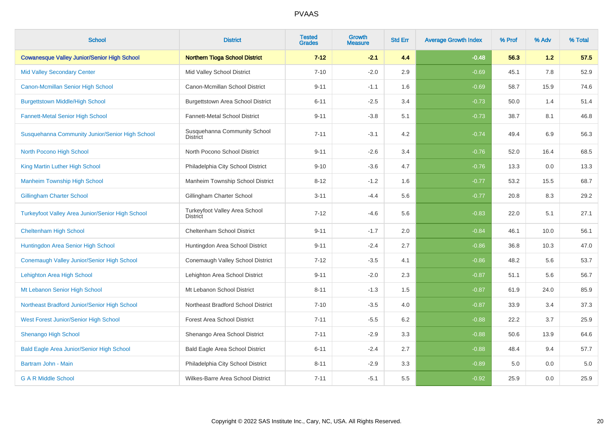| <b>School</b>                                           | <b>District</b>                                  | <b>Tested</b><br><b>Grades</b> | <b>Growth</b><br><b>Measure</b> | <b>Std Err</b> | <b>Average Growth Index</b> | % Prof | % Adv | % Total |
|---------------------------------------------------------|--------------------------------------------------|--------------------------------|---------------------------------|----------------|-----------------------------|--------|-------|---------|
| <b>Cowanesque Valley Junior/Senior High School</b>      | <b>Northern Tioga School District</b>            | $7 - 12$                       | $-2.1$                          | 4.4            | $-0.48$                     | 56.3   | 1.2   | 57.5    |
| <b>Mid Valley Secondary Center</b>                      | Mid Valley School District                       | $7 - 10$                       | $-2.0$                          | 2.9            | $-0.69$                     | 45.1   | 7.8   | 52.9    |
| Canon-Mcmillan Senior High School                       | Canon-Mcmillan School District                   | $9 - 11$                       | $-1.1$                          | 1.6            | $-0.69$                     | 58.7   | 15.9  | 74.6    |
| <b>Burgettstown Middle/High School</b>                  | <b>Burgettstown Area School District</b>         | $6 - 11$                       | $-2.5$                          | 3.4            | $-0.73$                     | 50.0   | 1.4   | 51.4    |
| <b>Fannett-Metal Senior High School</b>                 | Fannett-Metal School District                    | $9 - 11$                       | $-3.8$                          | 5.1            | $-0.73$                     | 38.7   | 8.1   | 46.8    |
| Susquehanna Community Junior/Senior High School         | Susquehanna Community School<br><b>District</b>  | $7 - 11$                       | $-3.1$                          | 4.2            | $-0.74$                     | 49.4   | 6.9   | 56.3    |
| North Pocono High School                                | North Pocono School District                     | $9 - 11$                       | $-2.6$                          | 3.4            | $-0.76$                     | 52.0   | 16.4  | 68.5    |
| King Martin Luther High School                          | Philadelphia City School District                | $9 - 10$                       | $-3.6$                          | 4.7            | $-0.76$                     | 13.3   | 0.0   | 13.3    |
| <b>Manheim Township High School</b>                     | Manheim Township School District                 | $8 - 12$                       | $-1.2$                          | 1.6            | $-0.77$                     | 53.2   | 15.5  | 68.7    |
| <b>Gillingham Charter School</b>                        | Gillingham Charter School                        | $3 - 11$                       | $-4.4$                          | 5.6            | $-0.77$                     | 20.8   | 8.3   | 29.2    |
| <b>Turkeyfoot Valley Area Junior/Senior High School</b> | Turkeyfoot Valley Area School<br><b>District</b> | $7 - 12$                       | $-4.6$                          | 5.6            | $-0.83$                     | 22.0   | 5.1   | 27.1    |
| <b>Cheltenham High School</b>                           | Cheltenham School District                       | $9 - 11$                       | $-1.7$                          | 2.0            | $-0.84$                     | 46.1   | 10.0  | 56.1    |
| Huntingdon Area Senior High School                      | Huntingdon Area School District                  | $9 - 11$                       | $-2.4$                          | 2.7            | $-0.86$                     | 36.8   | 10.3  | 47.0    |
| Conemaugh Valley Junior/Senior High School              | Conemaugh Valley School District                 | $7 - 12$                       | $-3.5$                          | 4.1            | $-0.86$                     | 48.2   | 5.6   | 53.7    |
| Lehighton Area High School                              | Lehighton Area School District                   | $9 - 11$                       | $-2.0$                          | 2.3            | $-0.87$                     | 51.1   | 5.6   | 56.7    |
| Mt Lebanon Senior High School                           | Mt Lebanon School District                       | $8 - 11$                       | $-1.3$                          | 1.5            | $-0.87$                     | 61.9   | 24.0  | 85.9    |
| Northeast Bradford Junior/Senior High School            | Northeast Bradford School District               | $7 - 10$                       | $-3.5$                          | 4.0            | $-0.87$                     | 33.9   | 3.4   | 37.3    |
| West Forest Junior/Senior High School                   | <b>Forest Area School District</b>               | $7 - 11$                       | $-5.5$                          | 6.2            | $-0.88$                     | 22.2   | 3.7   | 25.9    |
| <b>Shenango High School</b>                             | Shenango Area School District                    | $7 - 11$                       | $-2.9$                          | 3.3            | $-0.88$                     | 50.6   | 13.9  | 64.6    |
| <b>Bald Eagle Area Junior/Senior High School</b>        | Bald Eagle Area School District                  | $6 - 11$                       | $-2.4$                          | 2.7            | $-0.88$                     | 48.4   | 9.4   | 57.7    |
| Bartram John - Main                                     | Philadelphia City School District                | $8 - 11$                       | $-2.9$                          | 3.3            | $-0.89$                     | 5.0    | 0.0   | 5.0     |
| <b>G A R Middle School</b>                              | Wilkes-Barre Area School District                | $7 - 11$                       | $-5.1$                          | 5.5            | $-0.92$                     | 25.9   | 0.0   | 25.9    |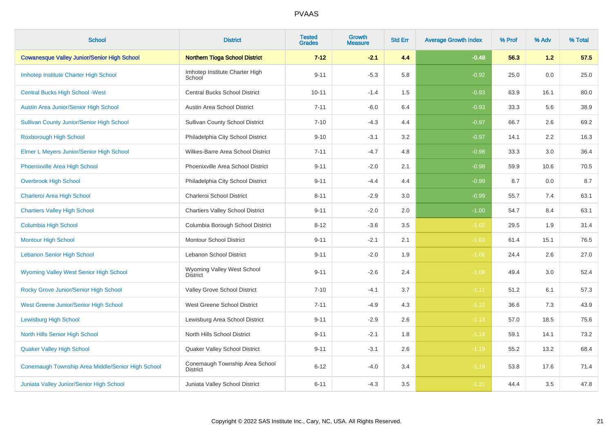| <b>School</b>                                      | <b>District</b>                                   | <b>Tested</b><br><b>Grades</b> | Growth<br><b>Measure</b> | <b>Std Err</b> | <b>Average Growth Index</b> | % Prof | % Adv | % Total |
|----------------------------------------------------|---------------------------------------------------|--------------------------------|--------------------------|----------------|-----------------------------|--------|-------|---------|
| <b>Cowanesque Valley Junior/Senior High School</b> | <b>Northern Tioga School District</b>             | $7 - 12$                       | $-2.1$                   | 4.4            | $-0.48$                     | 56.3   | 1.2   | 57.5    |
| Imhotep Institute Charter High School              | Imhotep Institute Charter High<br>School          | $9 - 11$                       | $-5.3$                   | 5.8            | $-0.92$                     | 25.0   | 0.0   | 25.0    |
| <b>Central Bucks High School - West</b>            | <b>Central Bucks School District</b>              | $10 - 11$                      | $-1.4$                   | 1.5            | $-0.93$                     | 63.9   | 16.1  | 80.0    |
| Austin Area Junior/Senior High School              | Austin Area School District                       | $7 - 11$                       | $-6.0$                   | 6.4            | $-0.93$                     | 33.3   | 5.6   | 38.9    |
| <b>Sullivan County Junior/Senior High School</b>   | <b>Sullivan County School District</b>            | $7 - 10$                       | $-4.3$                   | 4.4            | $-0.97$                     | 66.7   | 2.6   | 69.2    |
| Roxborough High School                             | Philadelphia City School District                 | $9 - 10$                       | $-3.1$                   | 3.2            | $-0.97$                     | 14.1   | 2.2   | 16.3    |
| Elmer L Meyers Junior/Senior High School           | Wilkes-Barre Area School District                 | $7 - 11$                       | $-4.7$                   | 4.8            | $-0.98$                     | 33.3   | 3.0   | 36.4    |
| Phoenixville Area High School                      | Phoenixville Area School District                 | $9 - 11$                       | $-2.0$                   | 2.1            | $-0.98$                     | 59.9   | 10.6  | 70.5    |
| <b>Overbrook High School</b>                       | Philadelphia City School District                 | $9 - 11$                       | $-4.4$                   | 4.4            | $-0.99$                     | 8.7    | 0.0   | 8.7     |
| Charleroi Area High School                         | Charleroi School District                         | $8 - 11$                       | $-2.9$                   | 3.0            | $-0.99$                     | 55.7   | 7.4   | 63.1    |
| <b>Chartiers Valley High School</b>                | <b>Chartiers Valley School District</b>           | $9 - 11$                       | $-2.0$                   | 2.0            | $-1.00$                     | 54.7   | 8.4   | 63.1    |
| Columbia High School                               | Columbia Borough School District                  | $8 - 12$                       | $-3.6$                   | 3.5            | $-1.02$                     | 29.5   | 1.9   | 31.4    |
| <b>Montour High School</b>                         | <b>Montour School District</b>                    | $9 - 11$                       | $-2.1$                   | 2.1            | $-1.03$                     | 61.4   | 15.1  | 76.5    |
| <b>Lebanon Senior High School</b>                  | Lebanon School District                           | $9 - 11$                       | $-2.0$                   | 1.9            | $-1.06$                     | 24.4   | 2.6   | 27.0    |
| <b>Wyoming Valley West Senior High School</b>      | Wyoming Valley West School<br><b>District</b>     | $9 - 11$                       | $-2.6$                   | 2.4            | $-1.08$                     | 49.4   | 3.0   | 52.4    |
| Rocky Grove Junior/Senior High School              | Valley Grove School District                      | $7 - 10$                       | $-4.1$                   | 3.7            | $-1.11$                     | 51.2   | 6.1   | 57.3    |
| West Greene Junior/Senior High School              | West Greene School District                       | $7 - 11$                       | $-4.9$                   | 4.3            | $-1.12$                     | 36.6   | 7.3   | 43.9    |
| <b>Lewisburg High School</b>                       | Lewisburg Area School District                    | $9 - 11$                       | $-2.9$                   | 2.6            | $-1.13$                     | 57.0   | 18.5  | 75.6    |
| North Hills Senior High School                     | North Hills School District                       | $9 - 11$                       | $-2.1$                   | 1.8            | $-1.14$                     | 59.1   | 14.1  | 73.2    |
| <b>Quaker Valley High School</b>                   | Quaker Valley School District                     | $9 - 11$                       | $-3.1$                   | 2.6            | $-1.19$                     | 55.2   | 13.2  | 68.4    |
| Conemaugh Township Area Middle/Senior High School  | Conemaugh Township Area School<br><b>District</b> | $6 - 12$                       | $-4.0$                   | 3.4            | $-1.19$                     | 53.8   | 17.6  | 71.4    |
| Juniata Valley Junior/Senior High School           | Juniata Valley School District                    | $6 - 11$                       | $-4.3$                   | 3.5            | $-1.21$                     | 44.4   | 3.5   | 47.8    |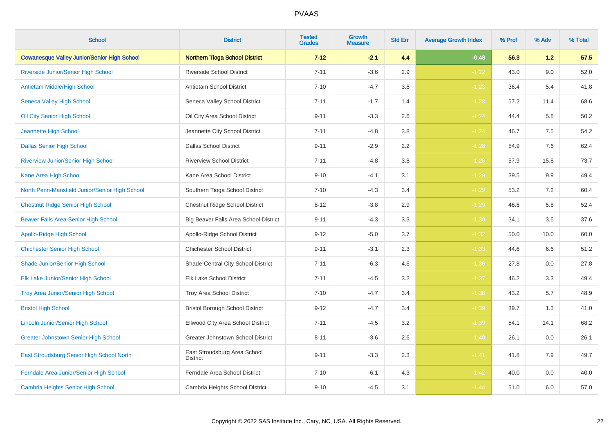| <b>School</b>                                      | <b>District</b>                                 | <b>Tested</b><br><b>Grades</b> | <b>Growth</b><br><b>Measure</b> | <b>Std Err</b> | <b>Average Growth Index</b> | % Prof | % Adv | % Total |
|----------------------------------------------------|-------------------------------------------------|--------------------------------|---------------------------------|----------------|-----------------------------|--------|-------|---------|
| <b>Cowanesque Valley Junior/Senior High School</b> | <b>Northern Tioga School District</b>           | $7 - 12$                       | $-2.1$                          | 4.4            | $-0.48$                     | 56.3   | 1.2   | 57.5    |
| Riverside Junior/Senior High School                | <b>Riverside School District</b>                | $7 - 11$                       | $-3.6$                          | 2.9            | $-1.22$                     | 43.0   | 9.0   | 52.0    |
| <b>Antietam Middle/High School</b>                 | Antietam School District                        | $7 - 10$                       | $-4.7$                          | 3.8            | $-1.23$                     | 36.4   | 5.4   | 41.8    |
| <b>Seneca Valley High School</b>                   | Seneca Valley School District                   | $7 - 11$                       | $-1.7$                          | 1.4            | $-1.23$                     | 57.2   | 11.4  | 68.6    |
| Oil City Senior High School                        | Oil City Area School District                   | $9 - 11$                       | $-3.3$                          | 2.6            | $-1.24$                     | 44.4   | 5.8   | 50.2    |
| Jeannette High School                              | Jeannette City School District                  | $7 - 11$                       | $-4.8$                          | 3.8            | $-1.24$                     | 46.7   | 7.5   | 54.2    |
| <b>Dallas Senior High School</b>                   | <b>Dallas School District</b>                   | $9 - 11$                       | $-2.9$                          | 2.2            | $-1.28$                     | 54.9   | 7.6   | 62.4    |
| <b>Riverview Junior/Senior High School</b>         | <b>Riverview School District</b>                | $7 - 11$                       | $-4.8$                          | 3.8            | $-1.28$                     | 57.9   | 15.8  | 73.7    |
| Kane Area High School                              | Kane Area School District                       | $9 - 10$                       | $-4.1$                          | 3.1            | $-1.29$                     | 39.5   | 9.9   | 49.4    |
| North Penn-Mansfield Junior/Senior High School     | Southern Tioga School District                  | $7 - 10$                       | $-4.3$                          | 3.4            | $-1.29$                     | 53.2   | 7.2   | 60.4    |
| <b>Chestnut Ridge Senior High School</b>           | Chestnut Ridge School District                  | $8 - 12$                       | $-3.8$                          | 2.9            | $-1.29$                     | 46.6   | 5.8   | 52.4    |
| Beaver Falls Area Senior High School               | Big Beaver Falls Area School District           | $9 - 11$                       | $-4.3$                          | 3.3            | $-1.30$                     | 34.1   | 3.5   | 37.6    |
| <b>Apollo-Ridge High School</b>                    | Apollo-Ridge School District                    | $9 - 12$                       | $-5.0$                          | 3.7            | $-1.32$                     | 50.0   | 10.0  | 60.0    |
| <b>Chichester Senior High School</b>               | <b>Chichester School District</b>               | $9 - 11$                       | $-3.1$                          | 2.3            | $-1.33$                     | 44.6   | 6.6   | 51.2    |
| Shade Junior/Senior High School                    | Shade-Central City School District              | $7 - 11$                       | $-6.3$                          | 4.6            | $-1.36$                     | 27.8   | 0.0   | 27.8    |
| Elk Lake Junior/Senior High School                 | Elk Lake School District                        | $7 - 11$                       | $-4.5$                          | 3.2            | $-1.37$                     | 46.2   | 3.3   | 49.4    |
| Troy Area Junior/Senior High School                | Troy Area School District                       | $7 - 10$                       | $-4.7$                          | 3.4            | $-1.38$                     | 43.2   | 5.7   | 48.9    |
| <b>Bristol High School</b>                         | <b>Bristol Borough School District</b>          | $9 - 12$                       | $-4.7$                          | 3.4            | $-1.39$                     | 39.7   | 1.3   | 41.0    |
| <b>Lincoln Junior/Senior High School</b>           | Ellwood City Area School District               | $7 - 11$                       | $-4.5$                          | 3.2            | $-1.39$                     | 54.1   | 14.1  | 68.2    |
| <b>Greater Johnstown Senior High School</b>        | Greater Johnstown School District               | $8 - 11$                       | $-3.6$                          | 2.6            | $-1.40$                     | 26.1   | 0.0   | 26.1    |
| East Stroudsburg Senior High School North          | East Stroudsburg Area School<br><b>District</b> | $9 - 11$                       | $-3.3$                          | $2.3\,$        | $-1.41$                     | 41.8   | 7.9   | 49.7    |
| Ferndale Area Junior/Senior High School            | Ferndale Area School District                   | $7 - 10$                       | $-6.1$                          | 4.3            | $-1.42$                     | 40.0   | 0.0   | 40.0    |
| <b>Cambria Heights Senior High School</b>          | Cambria Heights School District                 | $9 - 10$                       | $-4.5$                          | 3.1            | $-1.44$                     | 51.0   | 6.0   | 57.0    |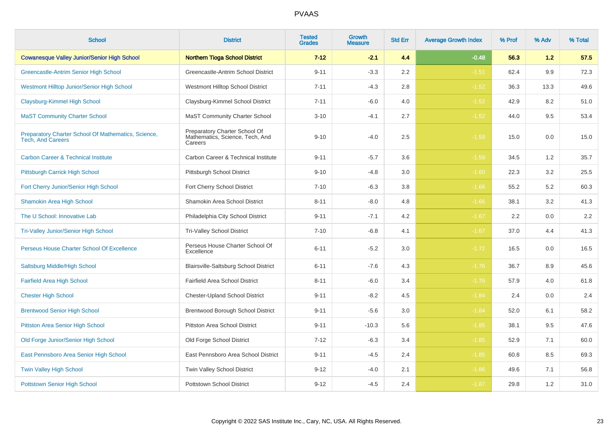| <b>School</b>                                                                   | <b>District</b>                                                             | <b>Tested</b><br><b>Grades</b> | Growth<br>Measure | <b>Std Err</b> | <b>Average Growth Index</b> | % Prof | % Adv | % Total |
|---------------------------------------------------------------------------------|-----------------------------------------------------------------------------|--------------------------------|-------------------|----------------|-----------------------------|--------|-------|---------|
| <b>Cowanesque Valley Junior/Senior High School</b>                              | <b>Northern Tioga School District</b>                                       | $7 - 12$                       | $-2.1$            | 4.4            | $-0.48$                     | 56.3   | 1.2   | 57.5    |
| Greencastle-Antrim Senior High School                                           | Greencastle-Antrim School District                                          | $9 - 11$                       | $-3.3$            | 2.2            | $-1.51$                     | 62.4   | 9.9   | 72.3    |
| Westmont Hilltop Junior/Senior High School                                      | Westmont Hilltop School District                                            | $7 - 11$                       | $-4.3$            | 2.8            | $-1.52$                     | 36.3   | 13.3  | 49.6    |
| Claysburg-Kimmel High School                                                    | Claysburg-Kimmel School District                                            | $7 - 11$                       | $-6.0$            | 4.0            | $-1.52$                     | 42.9   | 8.2   | 51.0    |
| <b>MaST Community Charter School</b>                                            | <b>MaST Community Charter School</b>                                        | $3 - 10$                       | $-4.1$            | 2.7            | $-1.52$                     | 44.0   | 9.5   | 53.4    |
| Preparatory Charter School Of Mathematics, Science,<br><b>Tech, And Careers</b> | Preparatory Charter School Of<br>Mathematics, Science, Tech, And<br>Careers | $9 - 10$                       | $-4.0$            | 2.5            | $-1.59$                     | 15.0   | 0.0   | 15.0    |
| <b>Carbon Career &amp; Technical Institute</b>                                  | Carbon Career & Technical Institute                                         | $9 - 11$                       | $-5.7$            | 3.6            | $-1.59$                     | 34.5   | 1.2   | 35.7    |
| Pittsburgh Carrick High School                                                  | Pittsburgh School District                                                  | $9 - 10$                       | $-4.8$            | 3.0            | $-1.60$                     | 22.3   | 3.2   | 25.5    |
| Fort Cherry Junior/Senior High School                                           | Fort Cherry School District                                                 | $7 - 10$                       | $-6.3$            | 3.8            | $-1.66$                     | 55.2   | 5.2   | 60.3    |
| <b>Shamokin Area High School</b>                                                | Shamokin Area School District                                               | $8 - 11$                       | $-8.0$            | 4.8            | $-1.66$                     | 38.1   | 3.2   | 41.3    |
| The U School: Innovative Lab                                                    | Philadelphia City School District                                           | $9 - 11$                       | $-7.1$            | 4.2            | $-1.67$                     | 2.2    | 0.0   | $2.2\,$ |
| <b>Tri-Valley Junior/Senior High School</b>                                     | <b>Tri-Valley School District</b>                                           | $7 - 10$                       | $-6.8$            | 4.1            | $-1.67$                     | 37.0   | 4.4   | 41.3    |
| Perseus House Charter School Of Excellence                                      | Perseus House Charter School Of<br>Excellence                               | $6 - 11$                       | $-5.2$            | 3.0            | $-1.72$                     | 16.5   | 0.0   | 16.5    |
| Saltsburg Middle/High School                                                    | Blairsville-Saltsburg School District                                       | $6 - 11$                       | $-7.6$            | 4.3            | $-1.76$                     | 36.7   | 8.9   | 45.6    |
| <b>Fairfield Area High School</b>                                               | Fairfield Area School District                                              | $8 - 11$                       | $-6.0$            | 3.4            | $-1.76$                     | 57.9   | 4.0   | 61.8    |
| <b>Chester High School</b>                                                      | <b>Chester-Upland School District</b>                                       | $9 - 11$                       | $-8.2$            | 4.5            | $-1.84$                     | 2.4    | 0.0   | 2.4     |
| <b>Brentwood Senior High School</b>                                             | Brentwood Borough School District                                           | $9 - 11$                       | $-5.6$            | $3.0\,$        | $-1.84$                     | 52.0   | 6.1   | 58.2    |
| <b>Pittston Area Senior High School</b>                                         | Pittston Area School District                                               | $9 - 11$                       | $-10.3$           | 5.6            | $-1.85$                     | 38.1   | 9.5   | 47.6    |
| Old Forge Junior/Senior High School                                             | Old Forge School District                                                   | $7 - 12$                       | $-6.3$            | 3.4            | $-1.85$                     | 52.9   | 7.1   | 60.0    |
| East Pennsboro Area Senior High School                                          | East Pennsboro Area School District                                         | $9 - 11$                       | $-4.5$            | 2.4            | $-1.85$                     | 60.8   | 8.5   | 69.3    |
| <b>Twin Valley High School</b>                                                  | Twin Valley School District                                                 | $9 - 12$                       | $-4.0$            | 2.1            | $-1.86$                     | 49.6   | 7.1   | 56.8    |
| <b>Pottstown Senior High School</b>                                             | <b>Pottstown School District</b>                                            | $9 - 12$                       | $-4.5$            | 2.4            | $-1.87$                     | 29.8   | 1.2   | 31.0    |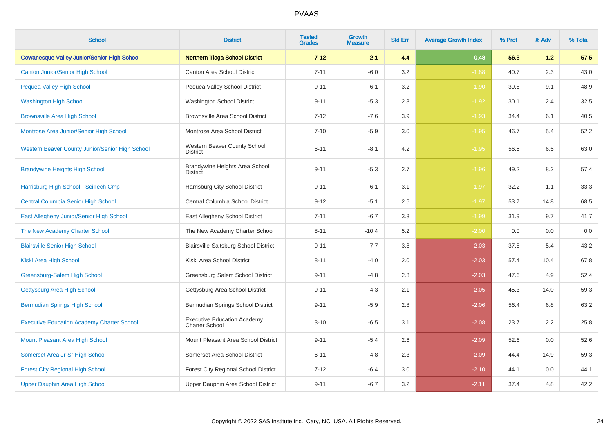| <b>School</b>                                      | <b>District</b>                                             | <b>Tested</b><br><b>Grades</b> | Growth<br><b>Measure</b> | <b>Std Err</b> | <b>Average Growth Index</b> | % Prof | % Adv | % Total |
|----------------------------------------------------|-------------------------------------------------------------|--------------------------------|--------------------------|----------------|-----------------------------|--------|-------|---------|
| <b>Cowanesque Valley Junior/Senior High School</b> | <b>Northern Tioga School District</b>                       | $7 - 12$                       | $-2.1$                   | 4.4            | $-0.48$                     | 56.3   | 1.2   | 57.5    |
| <b>Canton Junior/Senior High School</b>            | <b>Canton Area School District</b>                          | $7 - 11$                       | $-6.0$                   | 3.2            | $-1.88$                     | 40.7   | 2.3   | 43.0    |
| Pequea Valley High School                          | Pequea Valley School District                               | $9 - 11$                       | $-6.1$                   | 3.2            | $-1.90$                     | 39.8   | 9.1   | 48.9    |
| <b>Washington High School</b>                      | Washington School District                                  | $9 - 11$                       | $-5.3$                   | 2.8            | $-1.92$                     | 30.1   | 2.4   | 32.5    |
| <b>Brownsville Area High School</b>                | <b>Brownsville Area School District</b>                     | $7 - 12$                       | $-7.6$                   | 3.9            | $-1.93$                     | 34.4   | 6.1   | 40.5    |
| Montrose Area Junior/Senior High School            | Montrose Area School District                               | $7 - 10$                       | $-5.9$                   | 3.0            | $-1.95$                     | 46.7   | 5.4   | 52.2    |
| Western Beaver County Junior/Senior High School    | Western Beaver County School<br><b>District</b>             | $6 - 11$                       | $-8.1$                   | 4.2            | $-1.95$                     | 56.5   | 6.5   | 63.0    |
| <b>Brandywine Heights High School</b>              | Brandywine Heights Area School<br><b>District</b>           | $9 - 11$                       | $-5.3$                   | 2.7            | $-1.96$                     | 49.2   | 8.2   | 57.4    |
| Harrisburg High School - SciTech Cmp               | Harrisburg City School District                             | $9 - 11$                       | $-6.1$                   | 3.1            | $-1.97$                     | 32.2   | 1.1   | 33.3    |
| <b>Central Columbia Senior High School</b>         | Central Columbia School District                            | $9 - 12$                       | $-5.1$                   | 2.6            | $-1.97$                     | 53.7   | 14.8  | 68.5    |
| East Allegheny Junior/Senior High School           | East Allegheny School District                              | $7 - 11$                       | $-6.7$                   | 3.3            | $-1.99$                     | 31.9   | 9.7   | 41.7    |
| The New Academy Charter School                     | The New Academy Charter School                              | $8 - 11$                       | $-10.4$                  | 5.2            | $-2.00$                     | 0.0    | 0.0   | 0.0     |
| <b>Blairsville Senior High School</b>              | Blairsville-Saltsburg School District                       | $9 - 11$                       | $-7.7$                   | 3.8            | $-2.03$                     | 37.8   | 5.4   | 43.2    |
| Kiski Area High School                             | Kiski Area School District                                  | $8 - 11$                       | $-4.0$                   | 2.0            | $-2.03$                     | 57.4   | 10.4  | 67.8    |
| Greensburg-Salem High School                       | Greensburg Salem School District                            | $9 - 11$                       | $-4.8$                   | 2.3            | $-2.03$                     | 47.6   | 4.9   | 52.4    |
| Gettysburg Area High School                        | Gettysburg Area School District                             | $9 - 11$                       | $-4.3$                   | 2.1            | $-2.05$                     | 45.3   | 14.0  | 59.3    |
| <b>Bermudian Springs High School</b>               | Bermudian Springs School District                           | $9 - 11$                       | $-5.9$                   | 2.8            | $-2.06$                     | 56.4   | 6.8   | 63.2    |
| <b>Executive Education Academy Charter School</b>  | <b>Executive Education Academy</b><br><b>Charter School</b> | $3 - 10$                       | $-6.5$                   | 3.1            | $-2.08$                     | 23.7   | 2.2   | 25.8    |
| Mount Pleasant Area High School                    | Mount Pleasant Area School District                         | $9 - 11$                       | $-5.4$                   | 2.6            | $-2.09$                     | 52.6   | 0.0   | 52.6    |
| Somerset Area Jr-Sr High School                    | Somerset Area School District                               | $6 - 11$                       | $-4.8$                   | 2.3            | $-2.09$                     | 44.4   | 14.9  | 59.3    |
| <b>Forest City Regional High School</b>            | Forest City Regional School District                        | $7 - 12$                       | $-6.4$                   | 3.0            | $-2.10$                     | 44.1   | 0.0   | 44.1    |
| Upper Dauphin Area High School                     | Upper Dauphin Area School District                          | $9 - 11$                       | $-6.7$                   | 3.2            | $-2.11$                     | 37.4   | 4.8   | 42.2    |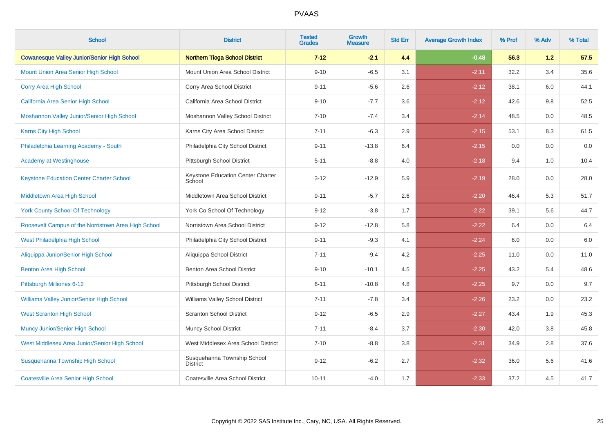| <b>School</b>                                       | <b>District</b>                                | <b>Tested</b><br><b>Grades</b> | <b>Growth</b><br><b>Measure</b> | <b>Std Err</b> | <b>Average Growth Index</b> | % Prof | % Adv | % Total |
|-----------------------------------------------------|------------------------------------------------|--------------------------------|---------------------------------|----------------|-----------------------------|--------|-------|---------|
| <b>Cowanesque Valley Junior/Senior High School</b>  | <b>Northern Tioga School District</b>          | $7 - 12$                       | $-2.1$                          | 4.4            | $-0.48$                     | 56.3   | 1.2   | 57.5    |
| Mount Union Area Senior High School                 | Mount Union Area School District               | $9 - 10$                       | $-6.5$                          | 3.1            | $-2.11$                     | 32.2   | 3.4   | 35.6    |
| Corry Area High School                              | Corry Area School District                     | $9 - 11$                       | $-5.6$                          | 2.6            | $-2.12$                     | 38.1   | 6.0   | 44.1    |
| California Area Senior High School                  | California Area School District                | $9 - 10$                       | $-7.7$                          | 3.6            | $-2.12$                     | 42.6   | 9.8   | 52.5    |
| Moshannon Valley Junior/Senior High School          | Moshannon Valley School District               | $7 - 10$                       | $-7.4$                          | 3.4            | $-2.14$                     | 48.5   | 0.0   | 48.5    |
| Karns City High School                              | Karns City Area School District                | $7 - 11$                       | $-6.3$                          | 2.9            | $-2.15$                     | 53.1   | 8.3   | 61.5    |
| Philadelphia Learning Academy - South               | Philadelphia City School District              | $9 - 11$                       | $-13.8$                         | 6.4            | $-2.15$                     | 0.0    | 0.0   | $0.0\,$ |
| Academy at Westinghouse                             | Pittsburgh School District                     | $5 - 11$                       | $-8.8$                          | 4.0            | $-2.18$                     | 9.4    | 1.0   | 10.4    |
| <b>Keystone Education Center Charter School</b>     | Keystone Education Center Charter<br>School    | $3 - 12$                       | $-12.9$                         | 5.9            | $-2.19$                     | 28.0   | 0.0   | 28.0    |
| Middletown Area High School                         | Middletown Area School District                | $9 - 11$                       | $-5.7$                          | 2.6            | $-2.20$                     | 46.4   | 5.3   | 51.7    |
| <b>York County School Of Technology</b>             | York Co School Of Technology                   | $9 - 12$                       | $-3.8$                          | 1.7            | $-2.22$                     | 39.1   | 5.6   | 44.7    |
| Roosevelt Campus of the Norristown Area High School | Norristown Area School District                | $9 - 12$                       | $-12.8$                         | 5.8            | $-2.22$                     | 6.4    | 0.0   | 6.4     |
| West Philadelphia High School                       | Philadelphia City School District              | $9 - 11$                       | $-9.3$                          | 4.1            | $-2.24$                     | 6.0    | 0.0   | $6.0\,$ |
| Aliquippa Junior/Senior High School                 | Aliquippa School District                      | $7 - 11$                       | $-9.4$                          | 4.2            | $-2.25$                     | 11.0   | 0.0   | 11.0    |
| <b>Benton Area High School</b>                      | Benton Area School District                    | $9 - 10$                       | $-10.1$                         | 4.5            | $-2.25$                     | 43.2   | 5.4   | 48.6    |
| Pittsburgh Milliones 6-12                           | Pittsburgh School District                     | $6 - 11$                       | $-10.8$                         | 4.8            | $-2.25$                     | 9.7    | 0.0   | 9.7     |
| Williams Valley Junior/Senior High School           | Williams Valley School District                | $7 - 11$                       | $-7.8$                          | 3.4            | $-2.26$                     | 23.2   | 0.0   | 23.2    |
| <b>West Scranton High School</b>                    | <b>Scranton School District</b>                | $9 - 12$                       | $-6.5$                          | 2.9            | $-2.27$                     | 43.4   | 1.9   | 45.3    |
| Muncy Junior/Senior High School                     | Muncy School District                          | $7 - 11$                       | $-8.4$                          | 3.7            | $-2.30$                     | 42.0   | 3.8   | 45.8    |
| West Middlesex Area Junior/Senior High School       | West Middlesex Area School District            | $7 - 10$                       | $-8.8$                          | 3.8            | $-2.31$                     | 34.9   | 2.8   | 37.6    |
| Susquehanna Township High School                    | Susquehanna Township School<br><b>District</b> | $9 - 12$                       | $-6.2$                          | 2.7            | $-2.32$                     | 36.0   | 5.6   | 41.6    |
| <b>Coatesville Area Senior High School</b>          | Coatesville Area School District               | $10 - 11$                      | $-4.0$                          | 1.7            | $-2.33$                     | 37.2   | 4.5   | 41.7    |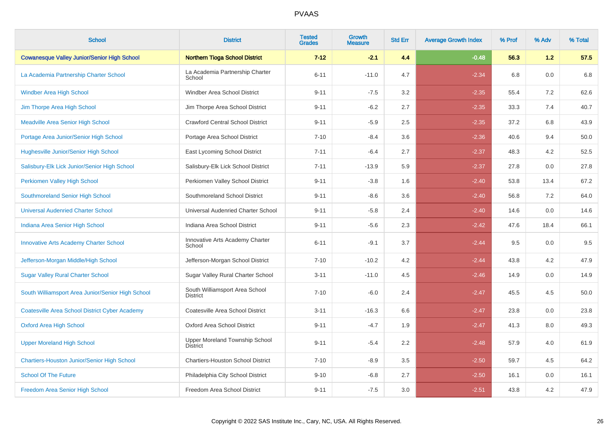| <b>School</b>                                         | <b>District</b>                                   | <b>Tested</b><br><b>Grades</b> | Growth<br><b>Measure</b> | <b>Std Err</b> | <b>Average Growth Index</b> | % Prof | % Adv   | % Total |
|-------------------------------------------------------|---------------------------------------------------|--------------------------------|--------------------------|----------------|-----------------------------|--------|---------|---------|
| <b>Cowanesque Valley Junior/Senior High School</b>    | <b>Northern Tioga School District</b>             | $7 - 12$                       | $-2.1$                   | 4.4            | $-0.48$                     | 56.3   | 1.2     | 57.5    |
| La Academia Partnership Charter School                | La Academia Partnership Charter<br>School         | $6 - 11$                       | $-11.0$                  | 4.7            | $-2.34$                     | 6.8    | 0.0     | 6.8     |
| <b>Windber Area High School</b>                       | Windber Area School District                      | $9 - 11$                       | $-7.5$                   | 3.2            | $-2.35$                     | 55.4   | 7.2     | 62.6    |
| Jim Thorpe Area High School                           | Jim Thorpe Area School District                   | $9 - 11$                       | $-6.2$                   | 2.7            | $-2.35$                     | 33.3   | 7.4     | 40.7    |
| <b>Meadville Area Senior High School</b>              | <b>Crawford Central School District</b>           | $9 - 11$                       | $-5.9$                   | 2.5            | $-2.35$                     | 37.2   | 6.8     | 43.9    |
| Portage Area Junior/Senior High School                | Portage Area School District                      | $7 - 10$                       | $-8.4$                   | 3.6            | $-2.36$                     | 40.6   | 9.4     | 50.0    |
| <b>Hughesville Junior/Senior High School</b>          | East Lycoming School District                     | $7 - 11$                       | $-6.4$                   | 2.7            | $-2.37$                     | 48.3   | 4.2     | 52.5    |
| Salisbury-Elk Lick Junior/Senior High School          | Salisbury-Elk Lick School District                | $7 - 11$                       | $-13.9$                  | 5.9            | $-2.37$                     | 27.8   | 0.0     | 27.8    |
| Perkiomen Valley High School                          | Perkiomen Valley School District                  | $9 - 11$                       | $-3.8$                   | 1.6            | $-2.40$                     | 53.8   | 13.4    | 67.2    |
| Southmoreland Senior High School                      | Southmoreland School District                     | $9 - 11$                       | $-8.6$                   | 3.6            | $-2.40$                     | 56.8   | 7.2     | 64.0    |
| <b>Universal Audenried Charter School</b>             | Universal Audenried Charter School                | $9 - 11$                       | $-5.8$                   | 2.4            | $-2.40$                     | 14.6   | 0.0     | 14.6    |
| Indiana Area Senior High School                       | Indiana Area School District                      | $9 - 11$                       | $-5.6$                   | 2.3            | $-2.42$                     | 47.6   | 18.4    | 66.1    |
| <b>Innovative Arts Academy Charter School</b>         | Innovative Arts Academy Charter<br>School         | $6 - 11$                       | $-9.1$                   | 3.7            | $-2.44$                     | 9.5    | 0.0     | 9.5     |
| Jefferson-Morgan Middle/High School                   | Jefferson-Morgan School District                  | $7 - 10$                       | $-10.2$                  | 4.2            | $-2.44$                     | 43.8   | 4.2     | 47.9    |
| <b>Sugar Valley Rural Charter School</b>              | Sugar Valley Rural Charter School                 | $3 - 11$                       | $-11.0$                  | 4.5            | $-2.46$                     | 14.9   | 0.0     | 14.9    |
| South Williamsport Area Junior/Senior High School     | South Williamsport Area School<br><b>District</b> | $7 - 10$                       | $-6.0$                   | 2.4            | $-2.47$                     | 45.5   | 4.5     | 50.0    |
| <b>Coatesville Area School District Cyber Academy</b> | Coatesville Area School District                  | $3 - 11$                       | $-16.3$                  | 6.6            | $-2.47$                     | 23.8   | $0.0\,$ | 23.8    |
| <b>Oxford Area High School</b>                        | Oxford Area School District                       | $9 - 11$                       | $-4.7$                   | 1.9            | $-2.47$                     | 41.3   | 8.0     | 49.3    |
| <b>Upper Moreland High School</b>                     | Upper Moreland Township School<br><b>District</b> | $9 - 11$                       | $-5.4$                   | 2.2            | $-2.48$                     | 57.9   | 4.0     | 61.9    |
| Chartiers-Houston Junior/Senior High School           | <b>Chartiers-Houston School District</b>          | $7 - 10$                       | $-8.9$                   | 3.5            | $-2.50$                     | 59.7   | 4.5     | 64.2    |
| <b>School Of The Future</b>                           | Philadelphia City School District                 | $9 - 10$                       | $-6.8$                   | 2.7            | $-2.50$                     | 16.1   | 0.0     | 16.1    |
| Freedom Area Senior High School                       | Freedom Area School District                      | $9 - 11$                       | $-7.5$                   | 3.0            | $-2.51$                     | 43.8   | 4.2     | 47.9    |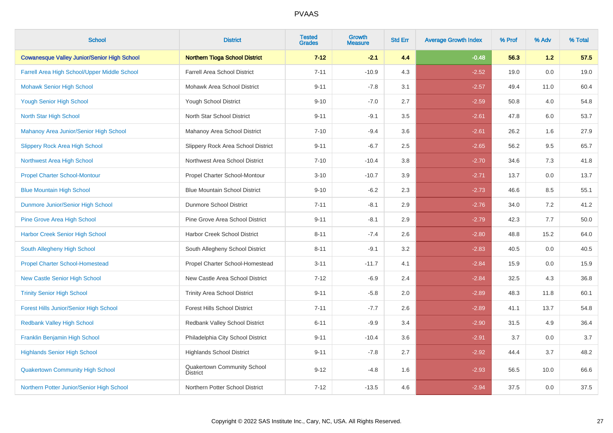| <b>School</b>                                      | <b>District</b>                                | <b>Tested</b><br><b>Grades</b> | <b>Growth</b><br><b>Measure</b> | <b>Std Err</b> | <b>Average Growth Index</b> | % Prof | % Adv | % Total |
|----------------------------------------------------|------------------------------------------------|--------------------------------|---------------------------------|----------------|-----------------------------|--------|-------|---------|
| <b>Cowanesque Valley Junior/Senior High School</b> | <b>Northern Tioga School District</b>          | $7 - 12$                       | $-2.1$                          | 4.4            | $-0.48$                     | 56.3   | 1.2   | 57.5    |
| Farrell Area High School/Upper Middle School       | <b>Farrell Area School District</b>            | $7 - 11$                       | $-10.9$                         | 4.3            | $-2.52$                     | 19.0   | 0.0   | 19.0    |
| <b>Mohawk Senior High School</b>                   | Mohawk Area School District                    | $9 - 11$                       | $-7.8$                          | 3.1            | $-2.57$                     | 49.4   | 11.0  | 60.4    |
| <b>Yough Senior High School</b>                    | Yough School District                          | $9 - 10$                       | $-7.0$                          | 2.7            | $-2.59$                     | 50.8   | 4.0   | 54.8    |
| North Star High School                             | North Star School District                     | $9 - 11$                       | $-9.1$                          | 3.5            | $-2.61$                     | 47.8   | 6.0   | 53.7    |
| Mahanoy Area Junior/Senior High School             | Mahanoy Area School District                   | $7 - 10$                       | $-9.4$                          | 3.6            | $-2.61$                     | 26.2   | 1.6   | 27.9    |
| <b>Slippery Rock Area High School</b>              | Slippery Rock Area School District             | $9 - 11$                       | $-6.7$                          | 2.5            | $-2.65$                     | 56.2   | 9.5   | 65.7    |
| <b>Northwest Area High School</b>                  | Northwest Area School District                 | $7 - 10$                       | $-10.4$                         | 3.8            | $-2.70$                     | 34.6   | 7.3   | 41.8    |
| <b>Propel Charter School-Montour</b>               | Propel Charter School-Montour                  | $3 - 10$                       | $-10.7$                         | 3.9            | $-2.71$                     | 13.7   | 0.0   | 13.7    |
| <b>Blue Mountain High School</b>                   | <b>Blue Mountain School District</b>           | $9 - 10$                       | $-6.2$                          | 2.3            | $-2.73$                     | 46.6   | 8.5   | 55.1    |
| Dunmore Junior/Senior High School                  | <b>Dunmore School District</b>                 | $7 - 11$                       | $-8.1$                          | 2.9            | $-2.76$                     | 34.0   | 7.2   | 41.2    |
| <b>Pine Grove Area High School</b>                 | Pine Grove Area School District                | $9 - 11$                       | $-8.1$                          | 2.9            | $-2.79$                     | 42.3   | 7.7   | 50.0    |
| <b>Harbor Creek Senior High School</b>             | <b>Harbor Creek School District</b>            | $8 - 11$                       | $-7.4$                          | 2.6            | $-2.80$                     | 48.8   | 15.2  | 64.0    |
| South Allegheny High School                        | South Allegheny School District                | $8 - 11$                       | $-9.1$                          | 3.2            | $-2.83$                     | 40.5   | 0.0   | 40.5    |
| <b>Propel Charter School-Homestead</b>             | Propel Charter School-Homestead                | $3 - 11$                       | $-11.7$                         | 4.1            | $-2.84$                     | 15.9   | 0.0   | 15.9    |
| <b>New Castle Senior High School</b>               | New Castle Area School District                | $7 - 12$                       | $-6.9$                          | 2.4            | $-2.84$                     | 32.5   | 4.3   | 36.8    |
| <b>Trinity Senior High School</b>                  | <b>Trinity Area School District</b>            | $9 - 11$                       | $-5.8$                          | 2.0            | $-2.89$                     | 48.3   | 11.8  | 60.1    |
| Forest Hills Junior/Senior High School             | <b>Forest Hills School District</b>            | $7 - 11$                       | $-7.7$                          | 2.6            | $-2.89$                     | 41.1   | 13.7  | 54.8    |
| <b>Redbank Valley High School</b>                  | Redbank Valley School District                 | $6 - 11$                       | $-9.9$                          | 3.4            | $-2.90$                     | 31.5   | 4.9   | 36.4    |
| Franklin Benjamin High School                      | Philadelphia City School District              | $9 - 11$                       | $-10.4$                         | 3.6            | $-2.91$                     | 3.7    | 0.0   | 3.7     |
| <b>Highlands Senior High School</b>                | <b>Highlands School District</b>               | $9 - 11$                       | $-7.8$                          | 2.7            | $-2.92$                     | 44.4   | 3.7   | 48.2    |
| <b>Quakertown Community High School</b>            | Quakertown Community School<br><b>District</b> | $9 - 12$                       | $-4.8$                          | 1.6            | $-2.93$                     | 56.5   | 10.0  | 66.6    |
| Northern Potter Junior/Senior High School          | Northern Potter School District                | $7 - 12$                       | $-13.5$                         | 4.6            | $-2.94$                     | 37.5   | 0.0   | 37.5    |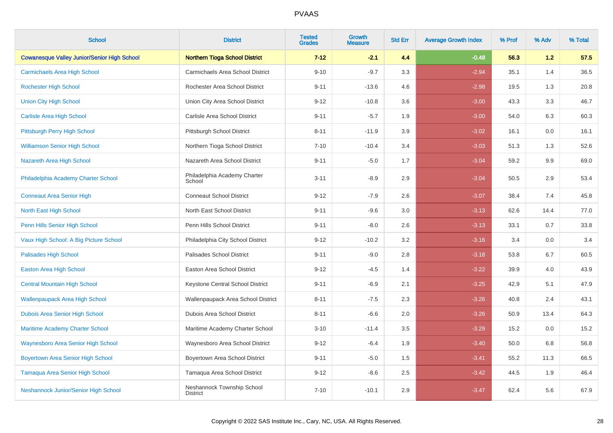| <b>School</b>                                      | <b>District</b>                               | <b>Tested</b><br><b>Grades</b> | <b>Growth</b><br><b>Measure</b> | <b>Std Err</b> | <b>Average Growth Index</b> | % Prof | % Adv | % Total |
|----------------------------------------------------|-----------------------------------------------|--------------------------------|---------------------------------|----------------|-----------------------------|--------|-------|---------|
| <b>Cowanesque Valley Junior/Senior High School</b> | <b>Northern Tioga School District</b>         | $7-12$                         | $-2.1$                          | 4.4            | $-0.48$                     | 56.3   | 1.2   | 57.5    |
| <b>Carmichaels Area High School</b>                | Carmichaels Area School District              | $9 - 10$                       | $-9.7$                          | 3.3            | $-2.94$                     | 35.1   | 1.4   | 36.5    |
| <b>Rochester High School</b>                       | Rochester Area School District                | $9 - 11$                       | $-13.6$                         | 4.6            | $-2.98$                     | 19.5   | 1.3   | 20.8    |
| <b>Union City High School</b>                      | Union City Area School District               | $9 - 12$                       | $-10.8$                         | 3.6            | $-3.00$                     | 43.3   | 3.3   | 46.7    |
| <b>Carlisle Area High School</b>                   | Carlisle Area School District                 | $9 - 11$                       | $-5.7$                          | 1.9            | $-3.00$                     | 54.0   | 6.3   | 60.3    |
| Pittsburgh Perry High School                       | Pittsburgh School District                    | $8 - 11$                       | $-11.9$                         | 3.9            | $-3.02$                     | 16.1   | 0.0   | 16.1    |
| <b>Williamson Senior High School</b>               | Northern Tioga School District                | $7 - 10$                       | $-10.4$                         | 3.4            | $-3.03$                     | 51.3   | 1.3   | 52.6    |
| Nazareth Area High School                          | Nazareth Area School District                 | $9 - 11$                       | $-5.0$                          | 1.7            | $-3.04$                     | 59.2   | 9.9   | 69.0    |
| Philadelphia Academy Charter School                | Philadelphia Academy Charter<br>School        | $3 - 11$                       | $-8.9$                          | 2.9            | $-3.04$                     | 50.5   | 2.9   | 53.4    |
| <b>Conneaut Area Senior High</b>                   | <b>Conneaut School District</b>               | $9 - 12$                       | $-7.9$                          | 2.6            | $-3.07$                     | 38.4   | 7.4   | 45.8    |
| North East High School                             | North East School District                    | $9 - 11$                       | $-9.6$                          | 3.0            | $-3.13$                     | 62.6   | 14.4  | 77.0    |
| Penn Hills Senior High School                      | Penn Hills School District                    | $9 - 11$                       | $-8.0$                          | 2.6            | $-3.13$                     | 33.1   | 0.7   | 33.8    |
| Vaux High School: A Big Picture School             | Philadelphia City School District             | $9 - 12$                       | $-10.2$                         | 3.2            | $-3.16$                     | 3.4    | 0.0   | 3.4     |
| <b>Palisades High School</b>                       | Palisades School District                     | $9 - 11$                       | $-9.0$                          | 2.8            | $-3.18$                     | 53.8   | 6.7   | 60.5    |
| <b>Easton Area High School</b>                     | Easton Area School District                   | $9 - 12$                       | $-4.5$                          | 1.4            | $-3.22$                     | 39.9   | 4.0   | 43.9    |
| <b>Central Mountain High School</b>                | Keystone Central School District              | $9 - 11$                       | $-6.9$                          | 2.1            | $-3.25$                     | 42.9   | 5.1   | 47.9    |
| <b>Wallenpaupack Area High School</b>              | Wallenpaupack Area School District            | $8 - 11$                       | $-7.5$                          | $2.3\,$        | $-3.26$                     | 40.8   | 2.4   | 43.1    |
| Dubois Area Senior High School                     | Dubois Area School District                   | $8 - 11$                       | $-6.6$                          | 2.0            | $-3.26$                     | 50.9   | 13.4  | 64.3    |
| <b>Maritime Academy Charter School</b>             | Maritime Academy Charter School               | $3 - 10$                       | $-11.4$                         | 3.5            | $-3.29$                     | 15.2   | 0.0   | 15.2    |
| Waynesboro Area Senior High School                 | Waynesboro Area School District               | $9 - 12$                       | $-6.4$                          | 1.9            | $-3.40$                     | 50.0   | 6.8   | 56.8    |
| <b>Boyertown Area Senior High School</b>           | Boyertown Area School District                | $9 - 11$                       | $-5.0$                          | 1.5            | $-3.41$                     | 55.2   | 11.3  | 66.5    |
| <b>Tamaqua Area Senior High School</b>             | Tamaqua Area School District                  | $9 - 12$                       | $-8.6$                          | 2.5            | $-3.42$                     | 44.5   | 1.9   | 46.4    |
| Neshannock Junior/Senior High School               | Neshannock Township School<br><b>District</b> | $7 - 10$                       | $-10.1$                         | 2.9            | $-3.47$                     | 62.4   | 5.6   | 67.9    |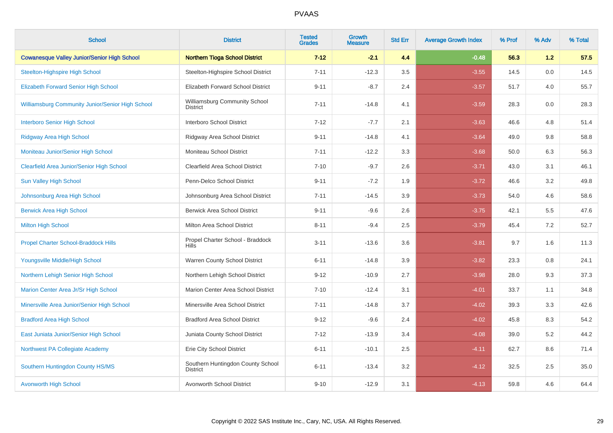| <b>School</b>                                           | <b>District</b>                                      | <b>Tested</b><br><b>Grades</b> | <b>Growth</b><br><b>Measure</b> | <b>Std Err</b> | <b>Average Growth Index</b> | % Prof | % Adv | % Total |
|---------------------------------------------------------|------------------------------------------------------|--------------------------------|---------------------------------|----------------|-----------------------------|--------|-------|---------|
| <b>Cowanesque Valley Junior/Senior High School</b>      | <b>Northern Tioga School District</b>                | $7 - 12$                       | $-2.1$                          | 4.4            | $-0.48$                     | 56.3   | 1.2   | 57.5    |
| <b>Steelton-Highspire High School</b>                   | Steelton-Highspire School District                   | $7 - 11$                       | $-12.3$                         | 3.5            | $-3.55$                     | 14.5   | 0.0   | 14.5    |
| <b>Elizabeth Forward Senior High School</b>             | <b>Elizabeth Forward School District</b>             | $9 - 11$                       | $-8.7$                          | 2.4            | $-3.57$                     | 51.7   | 4.0   | 55.7    |
| <b>Williamsburg Community Junior/Senior High School</b> | Williamsburg Community School<br><b>District</b>     | $7 - 11$                       | $-14.8$                         | 4.1            | $-3.59$                     | 28.3   | 0.0   | 28.3    |
| <b>Interboro Senior High School</b>                     | Interboro School District                            | $7 - 12$                       | $-7.7$                          | 2.1            | $-3.63$                     | 46.6   | 4.8   | 51.4    |
| <b>Ridgway Area High School</b>                         | Ridgway Area School District                         | $9 - 11$                       | $-14.8$                         | 4.1            | $-3.64$                     | 49.0   | 9.8   | 58.8    |
| Moniteau Junior/Senior High School                      | Moniteau School District                             | $7 - 11$                       | $-12.2$                         | 3.3            | $-3.68$                     | 50.0   | 6.3   | 56.3    |
| <b>Clearfield Area Junior/Senior High School</b>        | Clearfield Area School District                      | $7 - 10$                       | $-9.7$                          | 2.6            | $-3.71$                     | 43.0   | 3.1   | 46.1    |
| <b>Sun Valley High School</b>                           | Penn-Delco School District                           | $9 - 11$                       | $-7.2$                          | 1.9            | $-3.72$                     | 46.6   | 3.2   | 49.8    |
| Johnsonburg Area High School                            | Johnsonburg Area School District                     | $7 - 11$                       | $-14.5$                         | 3.9            | $-3.73$                     | 54.0   | 4.6   | 58.6    |
| <b>Berwick Area High School</b>                         | <b>Berwick Area School District</b>                  | $9 - 11$                       | $-9.6$                          | 2.6            | $-3.75$                     | 42.1   | 5.5   | 47.6    |
| <b>Milton High School</b>                               | Milton Area School District                          | $8 - 11$                       | $-9.4$                          | 2.5            | $-3.79$                     | 45.4   | 7.2   | 52.7    |
| <b>Propel Charter School-Braddock Hills</b>             | Propel Charter School - Braddock<br><b>Hills</b>     | $3 - 11$                       | $-13.6$                         | 3.6            | $-3.81$                     | 9.7    | 1.6   | 11.3    |
| Youngsville Middle/High School                          | Warren County School District                        | $6 - 11$                       | $-14.8$                         | 3.9            | $-3.82$                     | 23.3   | 0.8   | 24.1    |
| Northern Lehigh Senior High School                      | Northern Lehigh School District                      | $9 - 12$                       | $-10.9$                         | 2.7            | $-3.98$                     | 28.0   | 9.3   | 37.3    |
| Marion Center Area Jr/Sr High School                    | Marion Center Area School District                   | $7 - 10$                       | $-12.4$                         | 3.1            | $-4.01$                     | 33.7   | 1.1   | 34.8    |
| Minersville Area Junior/Senior High School              | Minersville Area School District                     | $7 - 11$                       | $-14.8$                         | 3.7            | $-4.02$                     | 39.3   | 3.3   | 42.6    |
| <b>Bradford Area High School</b>                        | <b>Bradford Area School District</b>                 | $9 - 12$                       | $-9.6$                          | 2.4            | $-4.02$                     | 45.8   | 8.3   | 54.2    |
| East Juniata Junior/Senior High School                  | Juniata County School District                       | $7 - 12$                       | $-13.9$                         | 3.4            | $-4.08$                     | 39.0   | 5.2   | 44.2    |
| Northwest PA Collegiate Academy                         | Erie City School District                            | $6 - 11$                       | $-10.1$                         | 2.5            | $-4.11$                     | 62.7   | 8.6   | 71.4    |
| Southern Huntingdon County HS/MS                        | Southern Huntingdon County School<br><b>District</b> | $6 - 11$                       | $-13.4$                         | 3.2            | $-4.12$                     | 32.5   | 2.5   | 35.0    |
| <b>Avonworth High School</b>                            | Avonworth School District                            | $9 - 10$                       | $-12.9$                         | 3.1            | $-4.13$                     | 59.8   | 4.6   | 64.4    |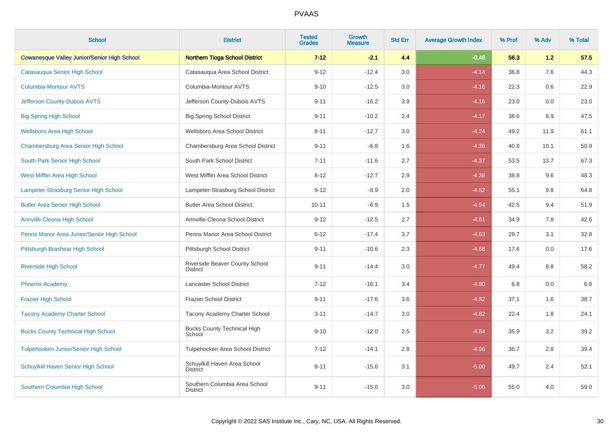| <b>School</b>                                      | <b>District</b>                                   | <b>Tested</b><br><b>Grades</b> | <b>Growth</b><br><b>Measure</b> | <b>Std Err</b> | <b>Average Growth Index</b> | % Prof | % Adv   | % Total |
|----------------------------------------------------|---------------------------------------------------|--------------------------------|---------------------------------|----------------|-----------------------------|--------|---------|---------|
| <b>Cowanesque Valley Junior/Senior High School</b> | <b>Northern Tioga School District</b>             | $7 - 12$                       | $-2.1$                          | 4.4            | $-0.48$                     | 56.3   | 1.2     | 57.5    |
| Catasauqua Senior High School                      | Catasauqua Area School District                   | $9 - 12$                       | $-12.4$                         | 3.0            | $-4.14$                     | 36.8   | 7.6     | 44.3    |
| <b>Columbia-Montour AVTS</b>                       | Columbia-Montour AVTS                             | $9 - 10$                       | $-12.5$                         | 3.0            | $-4.16$                     | 22.3   | 0.6     | 22.9    |
| Jefferson County-Dubois AVTS                       | Jefferson County-Dubois AVTS                      | $9 - 11$                       | $-16.2$                         | 3.9            | $-4.16$                     | 23.0   | $0.0\,$ | 23.0    |
| <b>Big Spring High School</b>                      | <b>Big Spring School District</b>                 | $9 - 11$                       | $-10.2$                         | 2.4            | $-4.17$                     | 38.6   | 8.9     | 47.5    |
| <b>Wellsboro Area High School</b>                  | Wellsboro Area School District                    | $8 - 11$                       | $-12.7$                         | 3.0            | $-4.24$                     | 49.2   | 11.9    | 61.1    |
| Chambersburg Area Senior High School               | Chambersburg Area School District                 | $9 - 11$                       | $-6.8$                          | 1.6            | $-4.36$                     | 40.8   | 10.1    | 50.9    |
| South Park Senior High School                      | South Park School District                        | $7 - 11$                       | $-11.6$                         | 2.7            | $-4.37$                     | 53.5   | 13.7    | 67.3    |
| <b>West Mifflin Area High School</b>               | West Mifflin Area School District                 | $8 - 12$                       | $-12.7$                         | 2.9            | $-4.38$                     | 38.8   | 9.6     | 48.3    |
| Lampeter-Strasburg Senior High School              | Lampeter-Strasburg School District                | $9 - 12$                       | $-8.9$                          | 2.0            | $-4.52$                     | 55.1   | 9.8     | 64.8    |
| <b>Butler Area Senior High School</b>              | <b>Butler Area School District</b>                | $10 - 11$                      | $-6.9$                          | 1.5            | $-4.54$                     | 42.5   | 9.4     | 51.9    |
| <b>Annville Cleona High School</b>                 | Annville-Cleona School District                   | $9 - 12$                       | $-12.5$                         | 2.7            | $-4.61$                     | 34.9   | 7.8     | 42.6    |
| Penns Manor Area Junior/Senior High School         | Penns Manor Area School District                  | $6 - 12$                       | $-17.4$                         | 3.7            | $-4.63$                     | 29.7   | 3.1     | 32.8    |
| Pittsburgh Brashear High School                    | Pittsburgh School District                        | $9 - 11$                       | $-10.6$                         | 2.3            | $-4.68$                     | 17.6   | 0.0     | 17.6    |
| <b>Riverside High School</b>                       | Riverside Beaver County School<br><b>District</b> | $9 - 11$                       | $-14.4$                         | 3.0            | $-4.77$                     | 49.4   | 8.8     | 58.2    |
| <b>Phoenix Academy</b>                             | <b>Lancaster School District</b>                  | $7 - 12$                       | $-16.1$                         | 3.4            | $-4.80$                     | 6.8    | 0.0     | 6.8     |
| <b>Frazier High School</b>                         | <b>Frazier School District</b>                    | $9 - 11$                       | $-17.6$                         | 3.6            | $-4.82$                     | 37.1   | 1.6     | 38.7    |
| <b>Tacony Academy Charter School</b>               | Tacony Academy Charter School                     | $3 - 11$                       | $-14.7$                         | 3.0            | $-4.82$                     | 22.4   | 1.8     | 24.1    |
| <b>Bucks County Technical High School</b>          | <b>Bucks County Technical High</b><br>School      | $9 - 10$                       | $-12.0$                         | 2.5            | $-4.84$                     | 35.9   | 3.2     | 39.2    |
| Tulpehocken Junior/Senior High School              | Tulpehocken Area School District                  | $7 - 12$                       | $-14.1$                         | $2.8\,$        | $-4.96$                     | 36.7   | 2.8     | 39.4    |
| Schuylkill Haven Senior High School                | Schuylkill Haven Area School<br><b>District</b>   | $8 - 11$                       | $-15.6$                         | 3.1            | $-5.00$                     | 49.7   | 2.4     | 52.1    |
| Southern Columbia High School                      | Southern Columbia Area School<br><b>District</b>  | $9 - 11$                       | $-15.0$                         | 3.0            | $-5.06$                     | 55.0   | 4.0     | 59.0    |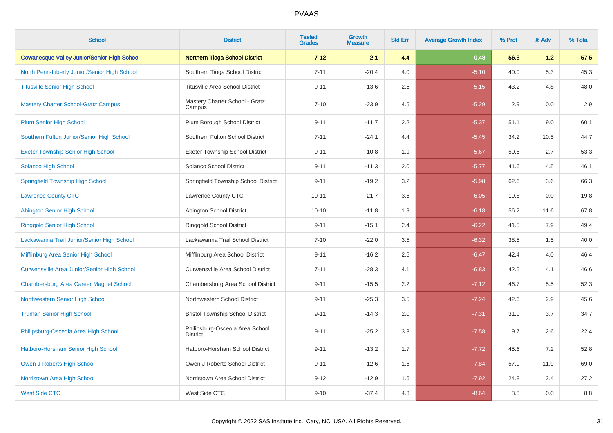| <b>School</b>                                      | <b>District</b>                                    | <b>Tested</b><br><b>Grades</b> | <b>Growth</b><br><b>Measure</b> | <b>Std Err</b> | <b>Average Growth Index</b> | % Prof | % Adv | % Total |
|----------------------------------------------------|----------------------------------------------------|--------------------------------|---------------------------------|----------------|-----------------------------|--------|-------|---------|
| <b>Cowanesque Valley Junior/Senior High School</b> | <b>Northern Tioga School District</b>              | $7 - 12$                       | $-2.1$                          | 4.4            | $-0.48$                     | 56.3   | 1.2   | 57.5    |
| North Penn-Liberty Junior/Senior High School       | Southern Tioga School District                     | $7 - 11$                       | $-20.4$                         | 4.0            | $-5.10$                     | 40.0   | 5.3   | 45.3    |
| <b>Titusville Senior High School</b>               | <b>Titusville Area School District</b>             | $9 - 11$                       | $-13.6$                         | 2.6            | $-5.15$                     | 43.2   | 4.8   | 48.0    |
| <b>Mastery Charter School-Gratz Campus</b>         | Mastery Charter School - Gratz<br>Campus           | $7 - 10$                       | $-23.9$                         | 4.5            | $-5.29$                     | 2.9    | 0.0   | 2.9     |
| <b>Plum Senior High School</b>                     | Plum Borough School District                       | $9 - 11$                       | $-11.7$                         | 2.2            | $-5.37$                     | 51.1   | 9.0   | 60.1    |
| Southern Fulton Junior/Senior High School          | Southern Fulton School District                    | $7 - 11$                       | $-24.1$                         | 4.4            | $-5.45$                     | 34.2   | 10.5  | 44.7    |
| <b>Exeter Township Senior High School</b>          | <b>Exeter Township School District</b>             | $9 - 11$                       | $-10.8$                         | 1.9            | $-5.67$                     | 50.6   | 2.7   | 53.3    |
| <b>Solanco High School</b>                         | Solanco School District                            | $9 - 11$                       | $-11.3$                         | 2.0            | $-5.77$                     | 41.6   | 4.5   | 46.1    |
| <b>Springfield Township High School</b>            | Springfield Township School District               | $9 - 11$                       | $-19.2$                         | 3.2            | $-5.98$                     | 62.6   | 3.6   | 66.3    |
| <b>Lawrence County CTC</b>                         | Lawrence County CTC                                | $10 - 11$                      | $-21.7$                         | 3.6            | $-6.05$                     | 19.8   | 0.0   | 19.8    |
| Abington Senior High School                        | Abington School District                           | $10 - 10$                      | $-11.8$                         | 1.9            | $-6.18$                     | 56.2   | 11.6  | 67.8    |
| <b>Ringgold Senior High School</b>                 | <b>Ringgold School District</b>                    | $9 - 11$                       | $-15.1$                         | 2.4            | $-6.22$                     | 41.5   | 7.9   | 49.4    |
| Lackawanna Trail Junior/Senior High School         | Lackawanna Trail School District                   | $7 - 10$                       | $-22.0$                         | 3.5            | $-6.32$                     | 38.5   | 1.5   | 40.0    |
| Mifflinburg Area Senior High School                | Mifflinburg Area School District                   | $9 - 11$                       | $-16.2$                         | 2.5            | $-6.47$                     | 42.4   | 4.0   | 46.4    |
| Curwensville Area Junior/Senior High School        | <b>Curwensville Area School District</b>           | $7 - 11$                       | $-28.3$                         | 4.1            | $-6.83$                     | 42.5   | 4.1   | 46.6    |
| <b>Chambersburg Area Career Magnet School</b>      | Chambersburg Area School District                  | $9 - 11$                       | $-15.5$                         | 2.2            | $-7.12$                     | 46.7   | 5.5   | 52.3    |
| Northwestern Senior High School                    | Northwestern School District                       | $9 - 11$                       | $-25.3$                         | 3.5            | $-7.24$                     | 42.6   | 2.9   | 45.6    |
| <b>Truman Senior High School</b>                   | <b>Bristol Township School District</b>            | $9 - 11$                       | $-14.3$                         | 2.0            | $-7.31$                     | 31.0   | 3.7   | 34.7    |
| Philipsburg-Osceola Area High School               | Philipsburg-Osceola Area School<br><b>District</b> | $9 - 11$                       | $-25.2$                         | 3.3            | $-7.58$                     | 19.7   | 2.6   | 22.4    |
| Hatboro-Horsham Senior High School                 | Hatboro-Horsham School District                    | $9 - 11$                       | $-13.2$                         | 1.7            | $-7.72$                     | 45.6   | 7.2   | 52.8    |
| Owen J Roberts High School                         | Owen J Roberts School District                     | $9 - 11$                       | $-12.6$                         | 1.6            | $-7.84$                     | 57.0   | 11.9  | 69.0    |
| Norristown Area High School                        | Norristown Area School District                    | $9 - 12$                       | $-12.9$                         | 1.6            | $-7.92$                     | 24.8   | 2.4   | 27.2    |
| <b>West Side CTC</b>                               | West Side CTC                                      | $9 - 10$                       | $-37.4$                         | 4.3            | $-8.64$                     | 8.8    | 0.0   | 8.8     |